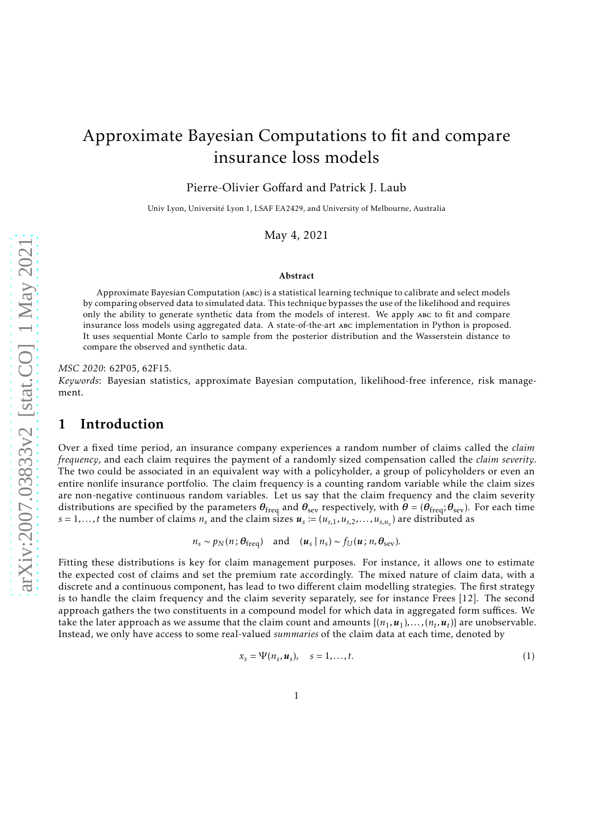# Approximate Bayesian Computations to fit and compare insurance loss models

Pierre-Olivier Goffard and Patrick J. Laub

Univ Lyon, Université Lyon 1, LSAF EA2429, and University of Melbourne, Australia

May 4, 2021

#### Abstract

Approximate Bayesian Computation (abc) is a statistical learning technique to calibrate and select models by comparing observed data to simulated data. This technique bypasses the use of the likelihood and requires only the ability to generate synthetic data from the models of interest. We apply abc to fit and compare insurance loss models using aggregated data. A state-of-the-art abc implementation in Python is proposed. It uses sequential Monte Carlo to sample from the posterior distribution and the Wasserstein distance to compare the observed and synthetic data.

#### *MSC 2020*: 62P05, 62F15.

<span id="page-0-1"></span>*Keywords*: Bayesian statistics, approximate Bayesian computation, likelihood-free inference, risk management.

### 1 Introduction

Over a fixed time period, an insurance company experiences a random number of claims called the *claim frequency*, and each claim requires the payment of a randomly sized compensation called the *claim severity*. The two could be associated in an equivalent way with a policyholder, a group of policyholders or even an entire nonlife insurance portfolio. The claim frequency is a counting random variable while the claim sizes are non-negative continuous random variables. Let us say that the claim frequency and the claim severity distributions are specified by the parameters *θ*freq and *θ*sev respectively, with *θ* = (*θ*freq;*θ*sev). For each time  $s = 1, \ldots, t$  the number of claims  $n_s$  and the claim sizes  $u_s \coloneqq (u_{s,1}, u_{s,2}, \ldots, u_{s,n_s})$  are distributed as

 $n_s \sim p_N(n; \theta_{\text{freq}})$  and  $(u_s \mid n_s) \sim f_U(u; n, \theta_{\text{sev}})$ .

Fitting these distributions is key for claim management purposes. For instance, it allows one to estimate the expected cost of claims and set the premium rate accordingly. The mixed nature of claim data, with a discrete and a continuous component, has lead to two different claim modelling strategies. The first strategy is to handle the claim frequency and the claim severity separately, see for instance Frees [\[12\]](#page-29-0). The second approach gathers the two constituents in a compound model for which data in aggregated form suffices. We take the later approach as we assume that the claim count and amounts  $\{(n_1, u_1), \ldots, (n_t, u_t)\}$  are unobservable. Instead, we only have access to some real-valued *summaries* of the claim data at each time, denoted by

<span id="page-0-0"></span>
$$
x_s = \Psi(n_s, \mathbf{u}_s), \quad s = 1, \dots, t. \tag{1}
$$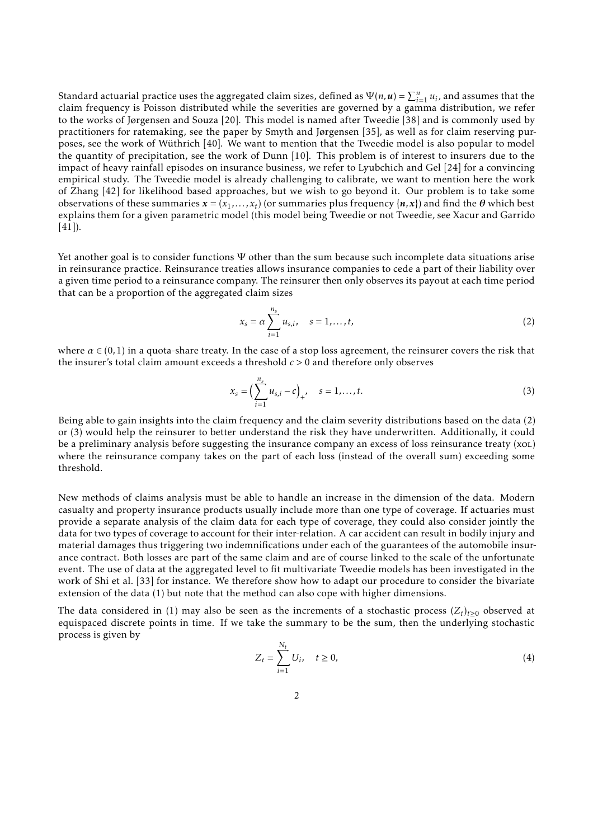Standard actuarial practice uses the aggregated claim sizes, defined as  $\Psi(n, u) = \sum_{i=1}^{n} u_i$ , and assumes that the claim frequency is Poisson distributed while the severities are governed by a gamma distribution, we refer to the works of Jørgensen and Souza [\[20](#page-29-1)]. This model is named after Tweedie [\[38\]](#page-30-0) and is commonly used by practitioners for ratemaking, see the paper by Smyth and Jørgensen [\[35\]](#page-30-1), as well as for claim reserving purposes, see the work of Wüthrich [\[40](#page-30-2)]. We want to mention that the Tweedie model is also popular to model the quantity of precipitation, see the work of Dunn [\[10](#page-29-2)]. This problem is of interest to insurers due to the impact of heavy rainfall episodes on insurance business, we refer to Lyubchich and Gel [\[24](#page-29-3)] for a convincing empirical study. The Tweedie model is already challenging to calibrate, we want to mention here the work of Zhang [\[42\]](#page-30-3) for likelihood based approaches, but we wish to go beyond it. Our problem is to take some observations of these summaries  $x = (x_1, ..., x_t)$  (or summaries plus frequency  $\{n, x\}$ ) and find the  $\theta$  which best explains them for a given parametric model (this model being Tweedie or not Tweedie, see Xacur and Garrido  $[41]$ .

Yet another goal is to consider functions Ψ other than the sum because such incomplete data situations arise in reinsurance practice. Reinsurance treaties allows insurance companies to cede a part of their liability over a given time period to a reinsurance company. The reinsurer then only observes its payout at each time period that can be a proportion of the aggregated claim sizes

<span id="page-1-0"></span>
$$
x_s = \alpha \sum_{i=1}^{n_s} u_{s,i}, \quad s = 1, \dots, t,
$$
 (2)

where  $\alpha \in (0,1)$  in a quota-share treaty. In the case of a stop loss agreement, the reinsurer covers the risk that the insurer's total claim amount exceeds a threshold *c >* 0 and therefore only observes

<span id="page-1-1"></span>
$$
x_s = \left(\sum_{i=1}^{n_s} u_{s,i} - c\right)_+, \quad s = 1, \dots, t.
$$
 (3)

Being able to gain insights into the claim frequency and the claim severity distributions based on the data [\(2\)](#page-1-0) or [\(3\)](#page-1-1) would help the reinsurer to better understand the risk they have underwritten. Additionally, it could be a preliminary analysis before suggesting the insurance company an excess of loss reinsurance treaty (xol) where the reinsurance company takes on the part of each loss (instead of the overall sum) exceeding some threshold.

New methods of claims analysis must be able to handle an increase in the dimension of the data. Modern casualty and property insurance products usually include more than one type of coverage. If actuaries must provide a separate analysis of the claim data for each type of coverage, they could also consider jointly the data for two types of coverage to account for their inter-relation. A car accident can result in bodily injury and material damages thus triggering two indemnifications under each of the guarantees of the automobile insurance contract. Both losses are part of the same claim and are of course linked to the scale of the unfortunate event. The use of data at the aggregated level to fit multivariate Tweedie models has been investigated in the work of Shi et al. [\[33\]](#page-30-5) for instance. We therefore show how to adapt our procedure to consider the bivariate extension of the data [\(1\)](#page-0-0) but note that the method can also cope with higher dimensions.

The data considered in [\(1\)](#page-0-0) may also be seen as the increments of a stochastic process  $(Z_t)_{t\geq0}$  observed at equispaced discrete points in time. If we take the summary to be the sum, then the underlying stochastic process is given by

<span id="page-1-2"></span>
$$
Z_t = \sum_{i=1}^{N_t} U_i, \quad t \ge 0,
$$
\n(4)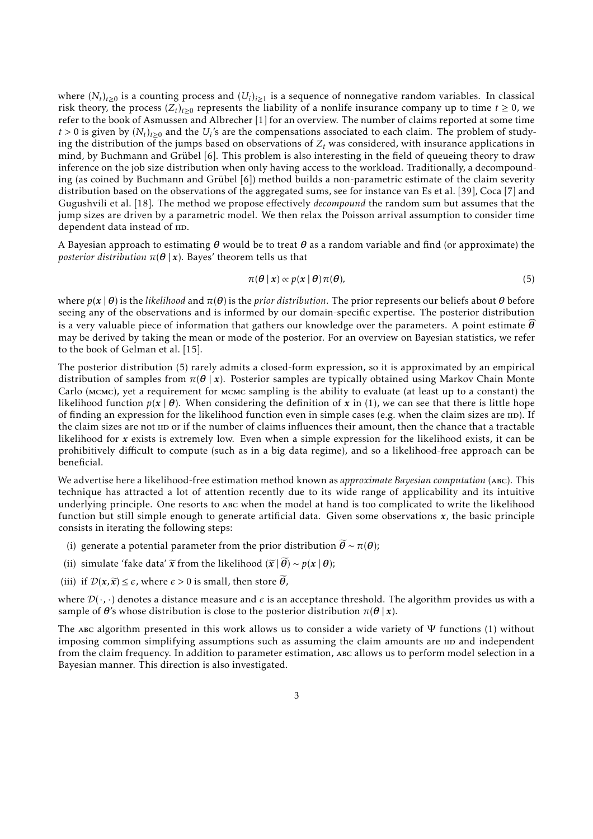where  $(N_t)_{t\geq0}$  is a counting process and  $(U_i)_{i\geq1}$  is a sequence of nonnegative random variables. In classical risk theory, the process  $(Z_t)_{t\geq0}$  represents the liability of a nonlife insurance company up to time  $t\geq0$ , we refer to the book of Asmussen and Albrecher [\[1\]](#page-28-0) for an overview. The number of claims reported at some time  $t > 0$  is given by  $(N_t)_{t \geq 0}$  and the  $U_i$ 's are the compensations associated to each claim. The problem of studying the distribution of the jumps based on observations of  $Z_t$  was considered, with insurance applications in mind, by Buchmann and Grübel [\[6](#page-29-4)]. This problem is also interesting in the field of queueing theory to draw inference on the job size distribution when only having access to the workload. Traditionally, a decompounding (as coined by Buchmann and Grübel [\[6\]](#page-29-4)) method builds a non-parametric estimate of the claim severity distribution based on the observations of the aggregated sums, see for instance van Es et al. [\[39](#page-30-6)], Coca [\[7](#page-29-5)] and Gugushvili et al. [\[18\]](#page-29-6). The method we propose effectively *decompound* the random sum but assumes that the jump sizes are driven by a parametric model. We then relax the Poisson arrival assumption to consider time dependent data instead of IID.

A Bayesian approach to estimating *θ* would be to treat *θ* as a random variable and find (or approximate) the *posterior distribution*  $\pi(\theta | x)$ . Bayes' theorem tells us that

<span id="page-2-0"></span>
$$
\pi(\boldsymbol{\theta} \mid \boldsymbol{x}) \propto p(\boldsymbol{x} \mid \boldsymbol{\theta}) \pi(\boldsymbol{\theta}), \tag{5}
$$

where  $p(x | \theta)$  is the *likelihood* and  $\pi(\theta)$  is the *prior distribution*. The prior represents our beliefs about  $\theta$  before seeing any of the observations and is informed by our domain-specific expertise. The posterior distribution is a very valuable piece of information that gathers our knowledge over the parameters. A point estimate  $\widehat{\theta}$ may be derived by taking the mean or mode of the posterior. For an overview on Bayesian statistics, we refer to the book of Gelman et al. [\[15\]](#page-29-7).

The posterior distribution [\(5\)](#page-2-0) rarely admits a closed-form expression, so it is approximated by an empirical distribution of samples from *π*(*θ* | *x*). Posterior samples are typically obtained using Markov Chain Monte Carlo (mcmc), yet a requirement for mcmc sampling is the ability to evaluate (at least up to a constant) the likelihood function  $p(x | \theta)$ . When considering the definition of x in [\(1\),](#page-0-0) we can see that there is little hope of finding an expression for the likelihood function even in simple cases (e.g. when the claim sizes are  $\text{ID}$ ). If the claim sizes are not  $\pi$  individual or if the number of claims influences their amount, then the chance that a tractable likelihood for *x* exists is extremely low. Even when a simple expression for the likelihood exists, it can be prohibitively difficult to compute (such as in a big data regime), and so a likelihood-free approach can be beneficial.

We advertise here a likelihood-free estimation method known as *approximate Bayesian computation* (abc). This technique has attracted a lot of attention recently due to its wide range of applicability and its intuitive underlying principle. One resorts to abc when the model at hand is too complicated to write the likelihood function but still simple enough to generate artificial data. Given some observations *x*, the basic principle consists in iterating the following steps:

- (i) generate a potential parameter from the prior distribution  $\tilde{\theta} \sim \pi(\theta)$ ;
- (ii) simulate 'fake data'  $\widetilde{x}$  from the likelihood ( $\widetilde{x}$  |  $\widetilde{\theta}$ ) ~  $p(x | \theta)$ ;
- (iii) if  $\mathcal{D}(x, \tilde{x}) \leq \epsilon$ , where  $\epsilon > 0$  is small, then store  $\tilde{\theta}$ ,

where  $\mathcal{D}(\cdot,\cdot)$  denotes a distance measure and  $\epsilon$  is an acceptance threshold. The algorithm provides us with a sample of  $\theta$ 's whose distribution is close to the posterior distribution  $\pi(\theta | x)$ .

The abc algorithm presented in this work allows us to consider a wide variety of  $\Psi$  functions [\(1\)](#page-0-0) without imposing common simplifying assumptions such as assuming the claim amounts are  $\text{m}$  and independent from the claim frequency. In addition to parameter estimation, abc allows us to perform model selection in a Bayesian manner. This direction is also investigated.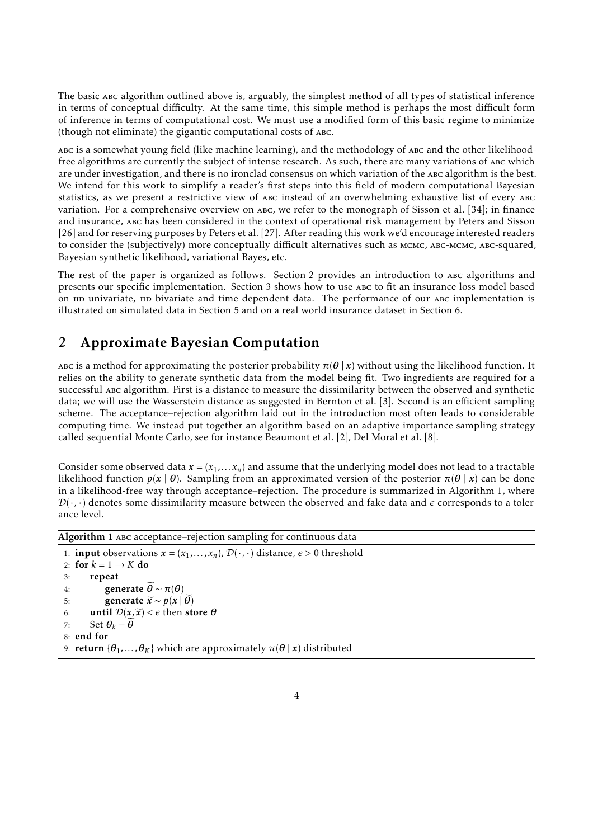The basic abc algorithm outlined above is, arguably, the simplest method of all types of statistical inference in terms of conceptual difficulty. At the same time, this simple method is perhaps the most difficult form of inference in terms of computational cost. We must use a modified form of this basic regime to minimize (though not eliminate) the gigantic computational costs of abc.

abc is a somewhat young field (like machine learning), and the methodology of abc and the other likelihoodfree algorithms are currently the subject of intense research. As such, there are many variations of abc which are under investigation, and there is no ironclad consensus on which variation of the abc algorithm is the best. We intend for this work to simplify a reader's first steps into this field of modern computational Bayesian statistics, as we present a restrictive view of abc instead of an overwhelming exhaustive list of every abc variation. For a comprehensive overview on abc, we refer to the monograph of Sisson et al. [\[34](#page-30-7)]; in finance and insurance, abc has been considered in the context of operational risk management by Peters and Sisson [\[26\]](#page-30-8) and for reserving purposes by Peters et al. [\[27\]](#page-30-9). After reading this work we'd encourage interested readers to consider the (subjectively) more conceptually difficult alternatives such as MCMC, ABC-MCMC, ABC-squared, Bayesian synthetic likelihood, variational Bayes, etc.

The rest of the paper is organized as follows. [Section 2](#page-3-0) provides an introduction to abc algorithms and presents our specific implementation. [Section 3](#page-6-0) shows how to use abc to fit an insurance loss model based on univariate, un bivariate and time dependent data. The performance of our ABC implementation is illustrated on simulated data in [Section 5](#page-13-0) and on a real world insurance dataset in [Section 6.](#page-23-0)

### <span id="page-3-0"></span>2 Approximate Bayesian Computation

Abc is a method for approximating the posterior probability  $\pi(\theta | x)$  without using the likelihood function. It relies on the ability to generate synthetic data from the model being fit. Two ingredients are required for a successful abc algorithm. First is a distance to measure the dissimilarity between the observed and synthetic data; we will use the Wasserstein distance as suggested in Bernton et al. [\[3](#page-28-1)]. Second is an efficient sampling scheme. The acceptance–rejection algorithm laid out in the introduction most often leads to considerable computing time. We instead put together an algorithm based on an adaptive importance sampling strategy called sequential Monte Carlo, see for instance Beaumont et al. [\[2](#page-28-2)], Del Moral et al. [\[8](#page-29-8)].

Consider some observed data  $x = (x_1, \ldots, x_n)$  and assume that the underlying model does not lead to a tractable likelihood function  $p(x | θ)$ . Sampling from an approximated version of the posterior  $π(θ | x)$  can be done in a likelihood-free way through acceptance–rejection. The procedure is summarized in [Algorithm 1,](#page-3-1) where  $\mathcal{D}(\cdot,\cdot)$  denotes some dissimilarity measure between the observed and fake data and  $\epsilon$  corresponds to a tolerance level.

<span id="page-3-1"></span>Algorithm 1 abc acceptance–rejection sampling for continuous data

```
1: input observations \mathbf{x} = (x_1, \ldots, x_n), \mathcal{D}(\cdot, \cdot) distance, \epsilon > 0 threshold
2: for k = 1 \rightarrow K do<br>3: repeat
            3: repeat
4: generate \widetilde{\theta} \sim π(\theta)<br>5: generate \widetilde{x} \sim n(x)5: generate \widetilde{x} \sim p(x | \theta)<br>6: until D(x, \widetilde{x}) < \epsilon then ste
6: until \mathcal{D}(x, \tilde{x}) < \epsilon then store \theta<br>7: Set \theta_k = \tilde{\theta}Set \theta_k = \tilde{\theta}8: end for
9: return \{\theta_1, \ldots, \theta_K\} which are approximately \pi(\theta | x) distributed
```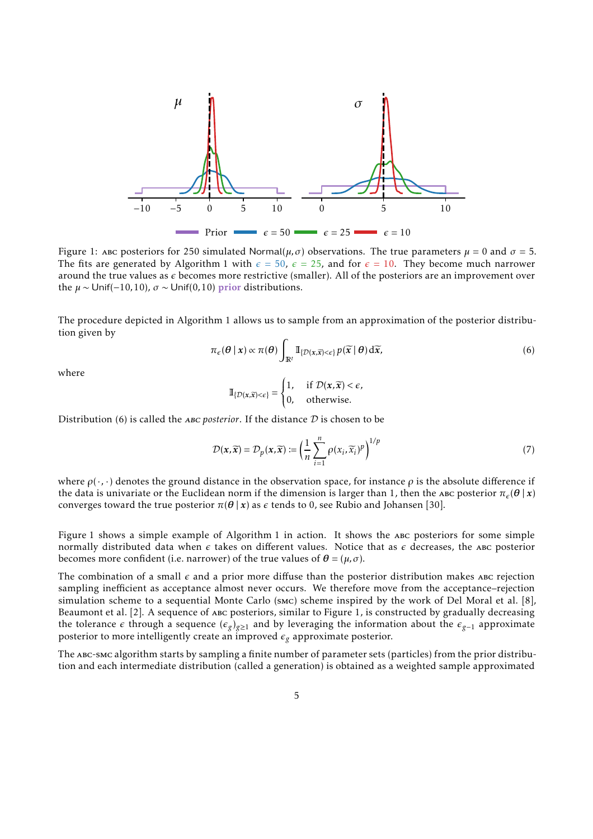<span id="page-4-1"></span>

Figure 1: ABC posteriors for 250 simulated Normal( $\mu$ , $\sigma$ ) observations. The true parameters  $\mu = 0$  and  $\sigma = 5$ . The fits are generated by [Algorithm 1](#page-3-1) with  $\epsilon = 50$ ,  $\epsilon = 25$ , and for  $\epsilon = 10$ . They become much narrower around the true values as *ǫ* becomes more restrictive (smaller). All of the posteriors are an improvement over the  $\mu \sim$  Unif(-10,10),  $\sigma \sim$  Unif(0,10) prior distributions.

The procedure depicted in [Algorithm 1](#page-3-1) allows us to sample from an approximation of the posterior distribution given by

<span id="page-4-0"></span>
$$
\pi_{\epsilon}(\theta \mid x) \propto \pi(\theta) \int_{\mathbb{R}^l} \mathbb{I}_{\{\mathcal{D}(x,\widetilde{x}) < \epsilon\}} p(\widetilde{x} \mid \theta) \, d\widetilde{x},\tag{6}
$$

where

$$
\mathbb{I}_{\{\mathcal{D}(x,\widetilde{x})<\epsilon\}} = \begin{cases} 1, & \text{if } \mathcal{D}(x,\widetilde{x})<\epsilon, \\ 0, & \text{otherwise.} \end{cases}
$$

Distribution [\(6\)](#page-4-0) is called the *ABC posterior*. If the distance  $D$  is chosen to be

<span id="page-4-2"></span>
$$
\mathcal{D}(\mathbf{x}, \widetilde{\mathbf{x}}) = \mathcal{D}_p(\mathbf{x}, \widetilde{\mathbf{x}}) := \left(\frac{1}{n} \sum_{i=1}^n \rho(x_i, \widetilde{x}_i)^p\right)^{1/p} \tag{7}
$$

where  $\rho(\cdot,\cdot)$  denotes the ground distance in the observation space, for instance  $\rho$  is the absolute difference if the data is univariate or the Euclidean norm if the dimension is larger than 1, then the abc posterior  $\pi_e(\theta | x)$ converges toward the true posterior  $\pi(\theta | x)$  as  $\epsilon$  tends to 0, see Rubio and Johansen [\[30](#page-30-10)].

[Figure 1](#page-4-1) shows a simple example of [Algorithm 1](#page-3-1) in action. It shows the abc posteriors for some simple normally distributed data when *ε* takes on different values. Notice that as *ε* decreases, the ABC posterior becomes more confident (i.e. narrower) of the true values of  $\theta = (\mu, \sigma)$ .

The combination of a small  $\epsilon$  and a prior more diffuse than the posterior distribution makes ABC rejection sampling inefficient as acceptance almost never occurs. We therefore move from the acceptance–rejection simulation scheme to a sequential Monte Carlo (smc) scheme inspired by the work of Del Moral et al. [\[8](#page-29-8)], Beaumont et al. [\[2\]](#page-28-2). A sequence of abc posteriors, similar to [Figure 1,](#page-4-1) is constructed by gradually decreasing the tolerance  $\epsilon$  through a sequence  $(\epsilon_g)_{g\geq 1}$  and by leveraging the information about the  $\epsilon_{g-1}$  approximate posterior to more intelligently create an improved  $\epsilon_g$  approximate posterior.

The abc-smc algorithm starts by sampling a finite number of parameter sets (particles) from the prior distribution and each intermediate distribution (called a generation) is obtained as a weighted sample approximated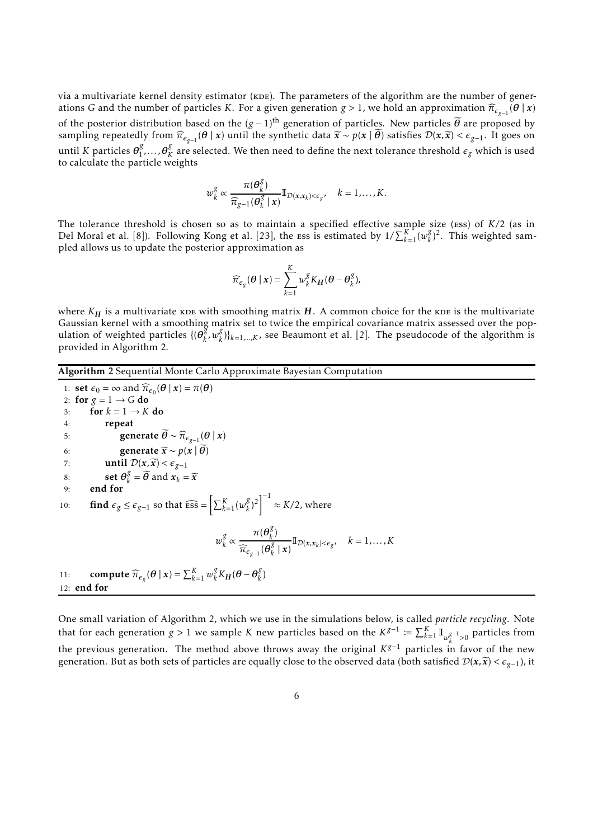via a multivariate kernel density estimator (KDE). The parameters of the algorithm are the number of generations *G* and the number of particles *K*. For a given generation  $g > 1$ , we hold an approximation  $\widehat{\pi}_{\varepsilon_{g-1}}(\theta | x)$ of the posterior distribution based on the  $(g - 1)$ <sup>th</sup> generation of particles. New particles  $\tilde{\theta}$  are proposed by  $\limsup$  in  $\widehat{n}_{\epsilon_{g-1}}(\theta | x)$  until the synthetic data  $\widetilde{x} \sim p(x | \theta)$  satisfies  $\mathcal{D}(x, \widetilde{x}) < \epsilon_{g-1}$ . It goes on until *K* particles  $\theta_1^g$  $\frac{g}{1}, \ldots, \theta_K^g$  $\frac{x}{K}$  are selected. We then need to define the next tolerance threshold  $\epsilon_g$  which is used to calculate the particle weights

$$
w_k^g \propto \frac{\pi(\boldsymbol{\theta}_k^g)}{\widehat{\pi}_{g-1}(\boldsymbol{\theta}_k^g \mid \boldsymbol{x})} \mathbb{I}_{\mathcal{D}(\boldsymbol{x}, \boldsymbol{x}_k) < \epsilon_g}, \quad k = 1, \ldots, K.
$$

The tolerance threshold is chosen so as to maintain a specified effective sample size (ess) of *K /*2 (as in Del Moral et al. [\[8\]](#page-29-8)). Following Kong et al. [\[23\]](#page-29-9), the  $\text{ess}$  is estimated by  $1/\sum_{k=1}^{K} (w_k^g)$  $(k^g)^2$ . This weighted sampled allows us to update the posterior approximation as

$$
\widehat{\pi}_{\epsilon_g}(\boldsymbol{\theta} \mid \boldsymbol{x}) = \sum_{k=1}^K w_k^g K_H(\boldsymbol{\theta} - \boldsymbol{\theta}_k^g),
$$

where  $K_H$  is a multivariate kDE with smoothing matrix  $H$ . A common choice for the kDE is the multivariate Gaussian kernel with a smoothing matrix set to twice the empirical covariance matrix assessed over the population of weighted particles  $\{(\boldsymbol{\theta}_k^g)$  $\int\limits_k^g w_k^g$  $\binom{1}{k}$ <sub> $k=1,...,K$ , see Beaumont et al. [\[2\]](#page-28-2). The pseudocode of the algorithm is</sub> provided in [Algorithm 2.](#page-5-0)

#### <span id="page-5-0"></span>Algorithm 2 Sequential Monte Carlo Approximate Bayesian Computation

1: set  $\epsilon_0 = \infty$  and  $\widehat{\pi}_{\epsilon_0}(\theta | x) = \pi(\theta)$ 2: for  $g = 1 \rightarrow G$  do<br>3: for  $k = 1 \rightarrow K$ 3: for  $k = 1 \rightarrow K$  do<br>4: **repeat** repeat 5: **generate**  $\theta \sim \widehat{\pi}_{\epsilon_{g-1}}(\theta | x)$ 6: generate  $\widetilde{x} \sim p(\mathbf{x} | \widetilde{\theta})$ <br>7: until  $\mathcal{D}(\mathbf{x}, \widetilde{\mathbf{x}}) < \epsilon_{\varphi-1}$ 7: **until**  $\mathcal{D}(x,\widetilde{x}) < \epsilon_{g-1}$ <br>8: **set**  $\theta_s^g = \widetilde{\theta}$  and  $x_t =$ 8: **set**  $\theta_k^g$ 8: **set**  $\theta_k^{\delta} = \theta$  and  $x_k = \tilde{x}$ <br>9: **end for** 10: **find**  $\epsilon_g \le \epsilon_{g-1}$  so that  $\widehat{\text{ess}} = \left[ \sum_{k=1}^K (w_k^g) \right]$  $\binom{g}{k}^2$ <sup>-1</sup>  $\approx K/2$ , where  $w_k^g$ *k* ∝  $\pi(\boldsymbol{\theta}_k^g)$ *k* )  $\widehat{\pi}_{\epsilon_{g-1}}(\theta_k^g)$  $\int_{k}^{k} |x| \mathbf{I}_{\mathcal{D}(x,x_k) < \epsilon_{g}}, \quad k = 1, ..., K$ 11: **compute**  $\widehat{\pi}_{\epsilon_g}(\theta | x) = \sum_{k=1}^K w_k^g$  $\frac{g}{k}K_H(\theta-\theta_k^g)$ *k* ) 12: end for

One small variation of [Algorithm 2,](#page-5-0) which we use in the simulations below, is called *particle recycling*. Note that for each generation *g* > 1 we sample *K* new particles based on the  $K^{g-1} := \sum_{k=1}^{K} \mathbb{I}_{w_k^{g-1} > 0}$  particles from the previous generation. The method above throws away the original *K <sup>g</sup>*−<sup>1</sup> particles in favor of the new generation. But as both sets of particles are equally close to the observed data (both satisfied  $\mathcal{D}(x,\widetilde{x}) < \epsilon_{g-1}$ ), it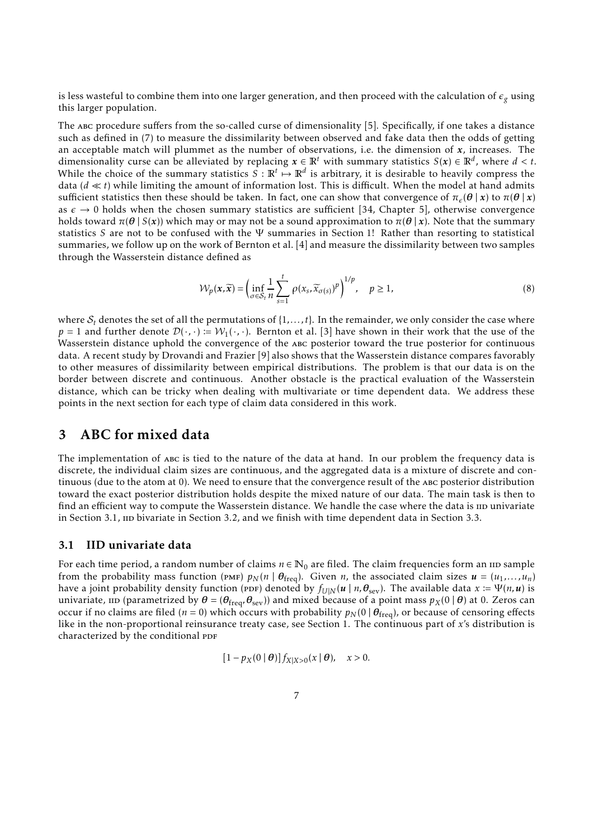is less wasteful to combine them into one larger generation, and then proceed with the calculation of  $\epsilon_g$  using this larger population.

The abc procedure suffers from the so-called curse of dimensionality [\[5](#page-28-3)]. Specifically, if one takes a distance such as defined in [\(7\)](#page-4-2) to measure the dissimilarity between observed and fake data then the odds of getting an acceptable match will plummet as the number of observations, i.e. the dimension of *x*, increases. The dimensionality curse can be alleviated by replacing  $x \in \mathbb{R}^t$  with summary statistics  $S(x) \in \mathbb{R}^d$ , where  $d < t$ . While the choice of the summary statistics  $S : \mathbb{R}^t \mapsto \mathbb{R}^d$  is arbitrary, it is desirable to heavily compress the data ( $d \ll t$ ) while limiting the amount of information lost. This is difficult. When the model at hand admits sufficient statistics then these should be taken. In fact, one can show that convergence of  $\pi_e(\theta | x)$  to  $\pi(\theta | x)$ as  $\epsilon \to 0$  holds when the chosen summary statistics are sufficient [\[34,](#page-30-7) Chapter 5], otherwise convergence holds toward  $\pi(\theta | S(x))$  which may or may not be a sound approximation to  $\pi(\theta | x)$ . Note that the summary statistics *S* are not to be confused with the Ψ summaries in [Section 1!](#page-0-1) Rather than resorting to statistical summaries, we follow up on the work of Bernton et al. [\[4](#page-28-4)] and measure the dissimilarity between two samples through the Wasserstein distance defined as

<span id="page-6-2"></span>
$$
\mathcal{W}_p(\mathbf{x}, \widetilde{\mathbf{x}}) = \left( \inf_{\sigma \in \mathcal{S}_t} \frac{1}{n} \sum_{s=1}^t \rho(x_s, \widetilde{x}_{\sigma(s)})^p \right)^{1/p}, \quad p \ge 1,
$$
\n(8)

where  $S_t$  denotes the set of all the permutations of  $\{1,\ldots,t\}$ . In the remainder, we only consider the case where *p* = 1 and further denote  $\mathcal{D}(\cdot, \cdot) := \mathcal{W}_1(\cdot, \cdot)$ . Bernton et al. [\[3](#page-28-1)] have shown in their work that the use of the Wasserstein distance uphold the convergence of the abc posterior toward the true posterior for continuous data. A recent study by Drovandi and Frazier [\[9](#page-29-10)] also shows that the Wasserstein distance compares favorably to other measures of dissimilarity between empirical distributions. The problem is that our data is on the border between discrete and continuous. Another obstacle is the practical evaluation of the Wasserstein distance, which can be tricky when dealing with multivariate or time dependent data. We address these points in the next section for each type of claim data considered in this work.

### <span id="page-6-0"></span>3 ABC for mixed data

The implementation of abc is tied to the nature of the data at hand. In our problem the frequency data is discrete, the individual claim sizes are continuous, and the aggregated data is a mixture of discrete and continuous (due to the atom at 0). We need to ensure that the convergence result of the abc posterior distribution toward the exact posterior distribution holds despite the mixed nature of our data. The main task is then to find an efficient way to compute the Wasserstein distance. We handle the case where the data is  $\text{ID}$  univariate in [Section 3.1,](#page-6-1)  $\mu$  bivariate in [Section 3.2,](#page-8-0) and we finish with time dependent data in [Section 3.3.](#page-10-0)

#### <span id="page-6-1"></span>3.1 IID univariate data

For each time period, a random number of claims  $n \in \mathbb{N}_0$  are filed. The claim frequencies form an  $\text{no}$  sample from the probability mass function (PMF)  $p_N(n | \theta_{freq})$ . Given *n*, the associated claim sizes  $u = (u_1, \ldots, u_n)$ have a joint probability density function (ppf) denoted by  $f_{U|N}(u \mid n, \theta_{\text{sev}})$ . The available data  $x := \Psi(n, u)$  is univariate,  $\text{ID}$  (parametrized by  $\theta = (\theta_{\text{freq}}, \theta_{\text{sev}})$ ) and mixed because of a point mass  $p_X(0 | \theta)$  at 0. Zeros can occur if no claims are filed ( $n = 0$ ) which occurs with probability  $p_N(0 | \theta_{\text{freq}})$ , or because of censoring effects like in the non-proportional reinsurance treaty case, see [Section 1.](#page-0-1) The continuous part of *x*'s distribution is characterized by the conditional PDF

$$
[1-p_X(0\mid\boldsymbol{\theta})]f_{X|X>0}(x\mid\boldsymbol{\theta}), \quad x>0.
$$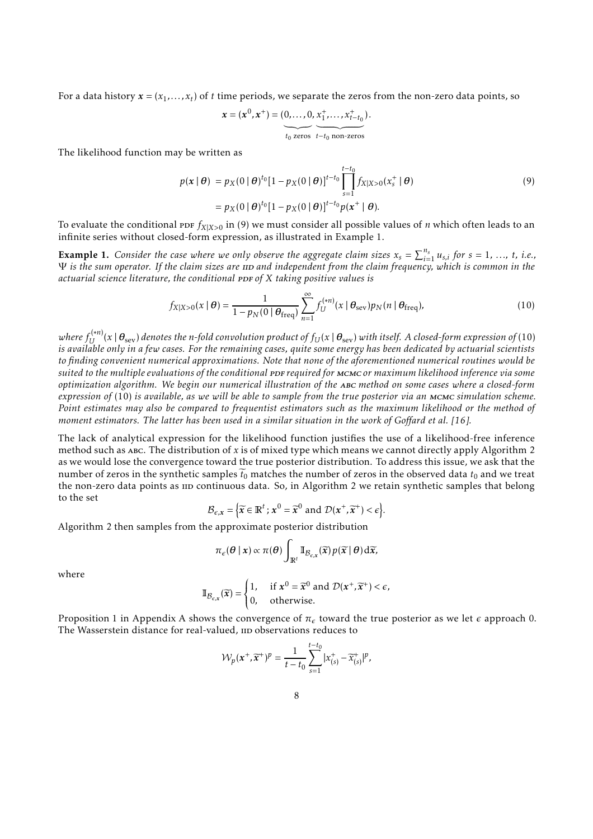For a data history  $\pmb{x} = (x_1, \dots, x_t)$  of  $t$  time periods, we separate the zeros from the non-zero data points, so

<span id="page-7-0"></span>
$$
\mathbf{x} = (\mathbf{x}^0, \mathbf{x}^+) = (\underbrace{0, \dots, 0}_{t_0 \text{ zeros}}, \underbrace{\mathbf{x}_1^+, \dots, \mathbf{x}_{t-t_0}^+}_{t-t_0 \text{ non-zeros}}).
$$

The likelihood function may be written as

$$
p(\mathbf{x} \mid \boldsymbol{\theta}) = p_X(0 \mid \boldsymbol{\theta})^{t_0} [1 - p_X(0 \mid \boldsymbol{\theta})]^{t - t_0} \prod_{s=1}^{t - t_0} f_{X \mid X > 0}(x_s^+ \mid \boldsymbol{\theta})
$$
  
=  $p_X(0 \mid \boldsymbol{\theta})^{t_0} [1 - p_X(0 \mid \boldsymbol{\theta})]^{t - t_0} p(\mathbf{x}^+ \mid \boldsymbol{\theta}).$  (9)

<span id="page-7-1"></span>To evaluate the conditional ppf  $f_{X|X>0}$  in [\(9\)](#page-7-0) we must consider all possible values of *n* which often leads to an infinite series without closed-form expression, as illustrated in [Example 1.](#page-7-1)

**Example 1.** Consider the case where we only observe the aggregate claim sizes  $x_s = \sum_{i=1}^{n_s} u_{s,i}$  for  $s = 1, ..., t$ , i.e.,  $\Psi$  *is the sum operator. If the claim sizes are IID and independent from the claim frequency, which is common in the actuarial science literature, the conditional PDF of X taking positive values is* 

<span id="page-7-2"></span>
$$
f_{X|X>0}(x \mid \boldsymbol{\theta}) = \frac{1}{1 - p_N(0 \mid \boldsymbol{\theta}_{\text{freq}})} \sum_{n=1}^{\infty} f_U^{(*n)}(x \mid \boldsymbol{\theta}_{\text{sev}}) p_N(n \mid \boldsymbol{\theta}_{\text{freq}}),
$$
(10)

 $w$ here  $f^{(*n)}_U(x\mid\bm{\theta}_{\rm sev})$  denotes the n-fold convolution product of  $f_U(x\mid\bm{\theta}_{\rm sev})$  with itself. A closed-form expression of [\(10\)](#page-7-2) *is available only in a few cases. For the remaining cases, quite some energy has been dedicated by actuarial scientists to finding convenient numerical approximations. Note that none of the aforementioned numerical routines would be*  $suited$  to the multiple evaluations of the conditional *PDF* required for MCMC or maximum likelihood inference via some *optimization algorithm. We begin our numerical illustration of the* abc *method on some cases where a closed-form expression of* [\(10\)](#page-7-2) *is available, as we will be able to sample from the true posterior via an* mcmc *simulation scheme. Point estimates may also be compared to frequentist estimators such as the maximum likelihood or the method of moment estimators. The latter has been used in a similar situation in the work of Goffard et al. [\[16](#page-29-11)].*

The lack of analytical expression for the likelihood function justifies the use of a likelihood-free inference method such as abc. The distribution of *x* is of mixed type which means we cannot directly apply [Algorithm 2](#page-5-0) as we would lose the convergence toward the true posterior distribution. To address this issue, we ask that the number of zeros in the synthetic samples  $\tilde{t}_0$  matches the number of zeros in the observed data  $t_0$  and we treat the non-zero data points as  $\mu$  continuous data. So, in [Algorithm 2](#page-5-0) we retain synthetic samples that belong to the set

$$
\mathcal{B}_{\epsilon,x} = \left\{ \widetilde{\mathbf{x}} \in \mathbb{R}^t : \mathbf{x}^0 = \widetilde{\mathbf{x}}^0 \text{ and } \mathcal{D}(\mathbf{x}^+, \widetilde{\mathbf{x}}^+) < \epsilon \right\}.
$$

[Algorithm 2](#page-5-0) then samples from the approximate posterior distribution

$$
\pi_{\epsilon}(\theta \mid x) \propto \pi(\theta) \int_{\mathbb{R}^t} \mathbb{I}_{\mathcal{B}_{\epsilon,x}}(\widetilde{x}) p(\widetilde{x} \mid \theta) \, d\widetilde{x},
$$

where

$$
\mathbb{I}_{\mathcal{B}_{\epsilon,\mathbf{x}}}(\widetilde{\mathbf{x}}) = \begin{cases} 1, & \text{if } \mathbf{x}^0 = \widetilde{\mathbf{x}}^0 \text{ and } \mathcal{D}(\mathbf{x}^+, \widetilde{\mathbf{x}}^+) < \epsilon, \\ 0, & \text{otherwise.} \end{cases}
$$

[Proposition 1](#page-31-0) in [Appendix A](#page-31-1) shows the convergence of  $\pi_\epsilon$  toward the true posterior as we let  $\epsilon$  approach 0. The Wasserstein distance for real-valued, IID observations reduces to

$$
\mathcal{W}_p(\boldsymbol{x}^+, \widetilde{\boldsymbol{x}}^+)^p = \frac{1}{t-t_0} \sum_{s=1}^{t-t_0} |x_{(s)}^+ - \widetilde{x}_{(s)}^+|^p,
$$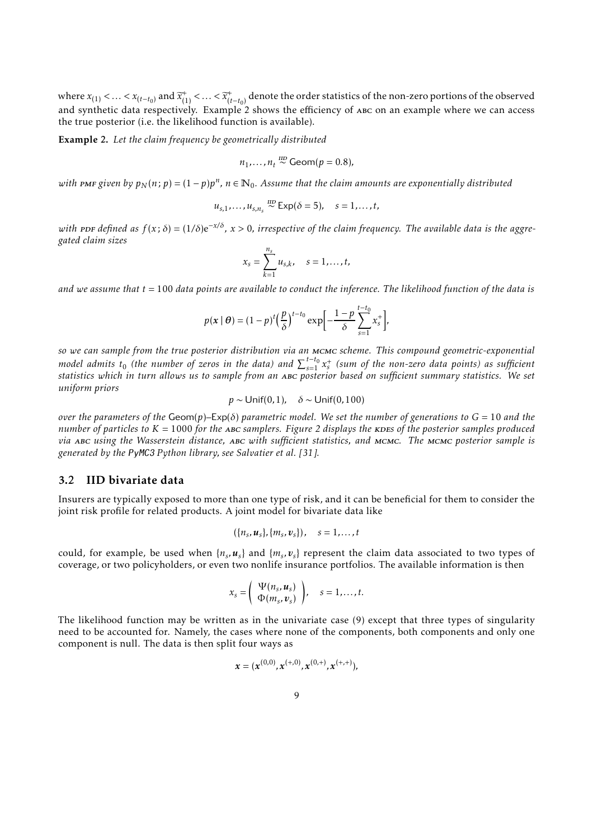where  $x_{(1)} < ... < x_{(t-t_0)}$  and  $\widetilde{x}_{(1)}^+ < ... < \widetilde{x}_{(t-t_0)}^+$  denote the order statistics of the non-zero portions of the observed and synthetic data respectively. [Example 2](#page-8-1) shows the efficiency of ABC on an example where we can access the true posterior (i.e. the likelihood function is available).

<span id="page-8-1"></span>Example 2. *Let the claim frequency be geometrically distributed*

$$
n_1,\ldots,n_t \stackrel{\text{IID}}{\sim} \text{Geom}(p=0.8),
$$

 $with$   ${\tt PMF}$   $given$   $by$   $p_N(n; p) = (1 - p)p^n$ ,  $n \in \mathbb{N}_0$ . Assume that the claim amounts are exponentially distributed

$$
u_{s,1},\ldots,u_{s,n_s} \stackrel{\text{HD}}{\sim} \text{Exp}(\delta=5), \quad s=1,\ldots,t,
$$

 $with$  PDF defined as  $f(x;δ) = (1/δ)e^{-x/δ}$ ,  $x > 0$ , irrespective of the claim frequency. The available data is the aggre*gated claim sizes*

$$
x_s = \sum_{k=1}^{n_s} u_{s,k}, \quad s = 1, \dots, t,
$$

*and we assume that t* = 100 *data points are available to conduct the inference. The likelihood function of the data is*

$$
p(\mathbf{x} \mid \boldsymbol{\theta}) = (1-p)^t \left(\frac{p}{\delta}\right)^{t-t_0} \exp\left[-\frac{1-p}{\delta} \sum_{s=1}^{t-t_0} x_s^+\right],
$$

*so we can sample from the true posterior distribution via an* mcmc *scheme. This compound geometric-exponential model admits*  $t_0$  (the number of zeros in the data) and  $\sum_{s=1}^{t-t_0} x_s^+$  (sum of the non-zero data points) as sufficient *statistics which in turn allows us to sample from an* abc *posterior based on sufficient summary statistics. We set uniform priors*

$$
p \sim \text{Unif}(0, 1), \quad \delta \sim \text{Unif}(0, 100)
$$

*over the parameters of the* Geom(*p*)*–*Exp(*δ*) *parametric model. We set the number of generations to G* = 10 *and the number of particles to*  $K = 1000$  *for the ABC samplers. [Figure 2](#page-9-0) displays the kDES of the posterior samples produced via* abc *using the Wasserstein distance,* abc *with sufficient statistics, and* mcmc*. The* mcmc *posterior sample is generated by the* PyMC3 *Python library, see Salvatier et al. [\[31](#page-30-11)].*

#### <span id="page-8-0"></span>3.2 IID bivariate data

Insurers are typically exposed to more than one type of risk, and it can be beneficial for them to consider the joint risk profile for related products. A joint model for bivariate data like

$$
(\lbrace n_s, u_s \rbrace, \lbrace m_s, v_s \rbrace), \quad s = 1, \ldots, t
$$

could, for example, be used when  $\{n_s, u_s\}$  and  $\{m_s, v_s\}$  represent the claim data associated to two types of coverage, or two policyholders, or even two nonlife insurance portfolios. The available information is then

$$
x_s = \left(\begin{array}{c} \Psi(n_s, \boldsymbol{u}_s) \\ \Phi(m_s, \boldsymbol{v}_s) \end{array}\right), \quad s = 1, \ldots, t.
$$

The likelihood function may be written as in the univariate case [\(9\)](#page-7-0) except that three types of singularity need to be accounted for. Namely, the cases where none of the components, both components and only one component is null. The data is then split four ways as

$$
x=(x^{(0,0)},x^{(+,0)},x^{(0,+)},x^{(+,+)}),\quad
$$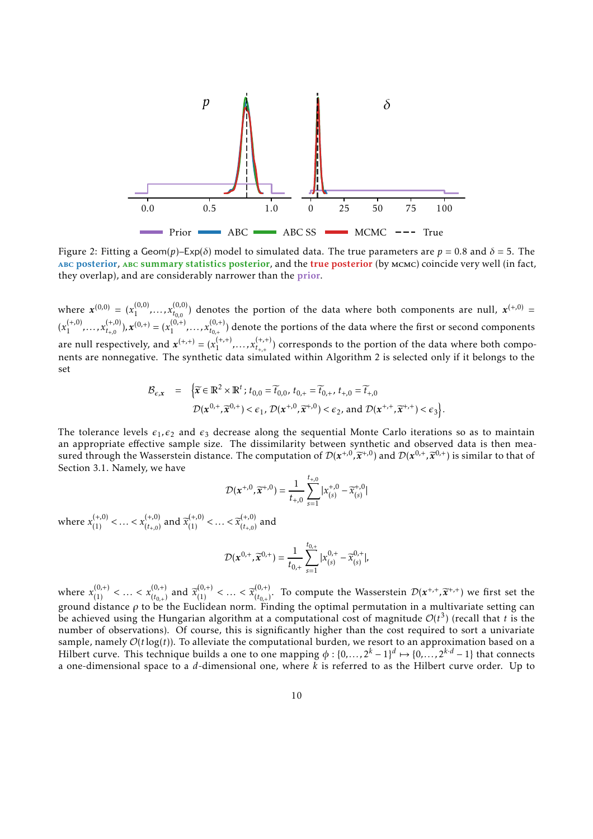<span id="page-9-0"></span>

Figure 2: Fitting a Geom(*p*)–Exp(*δ*) model to simulated data. The true parameters are *p* = 0.8 and *δ* = 5. The abc posterior, abc summary statistics posterior, and the true posterior (by mcmc) coincide very well (in fact, they overlap), and are considerably narrower than the **prior**.

where  $x^{(0,0)} = (x_1^{(0,0)}$  $\chi_{t_{0,0}}^{(0,0)}$ , ...,  $x_{t_{0,0}}^{(0,0)}$  $t_{0,0}^{(0,0)}$  denotes the portion of the data where both components are null,  $\mathbf{x}^{(+,0)}$  =  $(x_1^{(+,0)}$  $x_{t_{+0}}^{(+,0)}, \ldots, x_{t_{+0}}^{(+,0)}$  $(t^{+,0)}_{t_{+,0}})$ ,  $\mathbf{x}^{(0,+)} = (x_1^{(0,+)}$  $x_{t_{0,+}}^{(0, +)}$ , ...,  $x_{t_{0,+}}^{(0, +)}$  $t_{0,+}^{(0,+)}$  denote the portions of the data where the first or second components are null respectively, and  $\mathbf{x}^{(+,+)} = (x_1^{(+,+)} )$  $x_{t_{+,+}}^{(+,+)}, \ldots, x_{t_{+,+}}^{(+,+)}$  $t_{t++}^{(\tau,\tau,\tau)}$  corresponds to the portion of the data where both components are nonnegative. The synthetic data simulated within [Algorithm 2](#page-5-0) is selected only if it belongs to the set

$$
\mathcal{B}_{\epsilon,x} = \left\{ \widetilde{\mathbf{x}} \in \mathbb{R}^2 \times \mathbb{R}^t; t_{0,0} = \widetilde{t}_{0,0}, t_{0,+} = \widetilde{t}_{0,+}, t_{+,0} = \widetilde{t}_{+,0} \right. \n\mathcal{D}(\mathbf{x}^{0,+}, \widetilde{\mathbf{x}}^{0,+}) < \epsilon_1, \mathcal{D}(\mathbf{x}^{+,0}, \widetilde{\mathbf{x}}^{+,0}) < \epsilon_2, \text{ and } \mathcal{D}(\mathbf{x}^{+,+}, \widetilde{\mathbf{x}}^{+,+}) < \epsilon_3 \right\}.
$$

The tolerance levels  $\epsilon_1$ , $\epsilon_2$  and  $\epsilon_3$  decrease along the sequential Monte Carlo iterations so as to maintain an appropriate effective sample size. The dissimilarity between synthetic and observed data is then measured through the Wasserstein distance. The computation of  $\mathcal{D}(x^{+,0}, \widetilde{x}^{+,0})$  and  $\mathcal{D}(x^{0,+}, \widetilde{x}^{0,+})$  is similar to that of [Section 3.1.](#page-6-1) Namely, we have

$$
\mathcal{D}(\mathbf{x}^{+,0}, \widetilde{\mathbf{x}}^{+,0}) = \frac{1}{t_{+,0}} \sum_{s=1}^{t_{+,0}} |x_{(s)}^{+,0} - \widetilde{x}_{(s)}^{+,0}|
$$

where  $x_{(1)}^{(+,0)} < ... < x_{(t_{+,0})}^{(+,0)}$  $\widetilde{x}_{(t+0)}^{(+,0)}$  and  $\widetilde{x}_{(1)}^{(+,0)} < ... < \widetilde{x}_{(t+0)}^{(+,0)}$  $\binom{(+,0)}{(t_{+,0})}$  and

$$
\mathcal{D}(\boldsymbol{x}^{0,+}, \widetilde{\boldsymbol{x}}^{0,+}) = \frac{1}{t_{0,+}} \sum_{s=1}^{t_{0,+}} |x_{(s)}^{0,+} - \widetilde{x}_{(s)}^{0,+}|,
$$

where  $x_{(1)}^{(0, +)} < \ldots < x_{(t_{0, +})}^{(0, +)}$  $\begin{aligned} (0, +) \\ (t_{0,+}) \text{ and } \widetilde{x}_{(1)}^{(0,+)} < \ldots < \widetilde{x}_{(t_{0,+})}^{(0,+)} \end{aligned}$  $(t_{(t_{0,+})}^{(0,+)}$ . To compute the Wasserstein  $\mathcal{D}(\boldsymbol{x}^{+,+}, \widetilde{\boldsymbol{x}}^{+,+})$  we first set the ground distance *ρ* to be the Euclidean norm. Finding the optimal permutation in a multivariate setting can be achieved using the Hungarian algorithm at a computational cost of magnitude  $\mathcal{O}(t^3)$  (recall that *t* is the number of observations). Of course, this is significantly higher than the cost required to sort a univariate sample, namely  $\mathcal{O}(t \log(t))$ . To alleviate the computational burden, we resort to an approximation based on a Hilbert curve. This technique builds a one to one mapping  $\phi : \{0, \ldots, 2^k - 1\}^d \mapsto \{0, \ldots, 2^{k \cdot d} - 1\}$  that connects a one-dimensional space to a *d*-dimensional one, where *k* is referred to as the Hilbert curve order. Up to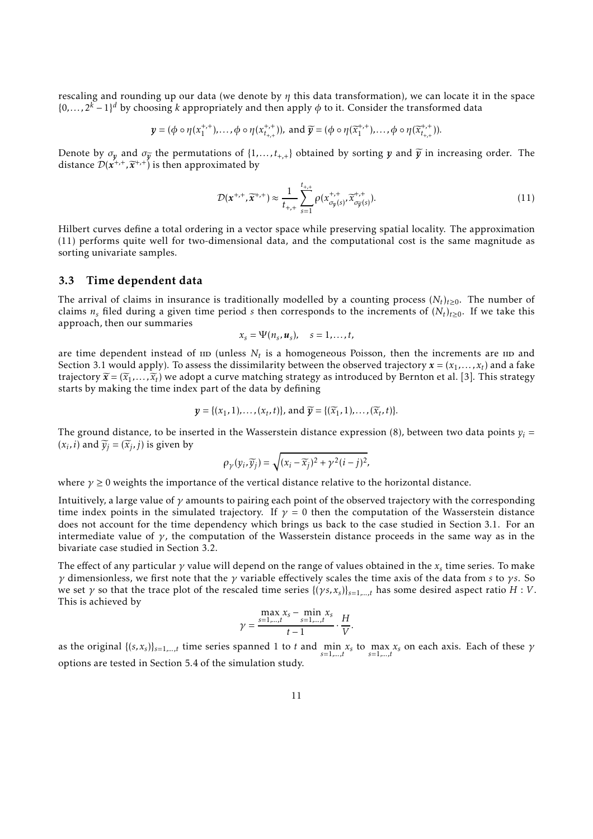rescaling and rounding up our data (we denote by *η* this data transformation), we can locate it in the space  $\{0,\ldots,2^k-1\}^d$  by choosing *k* appropriately and then apply  $\phi$  to it. Consider the transformed data

$$
y = (\phi \circ \eta(x_1^{+,+}), \dots, \phi \circ \eta(x_{t_{+,+}}^{+,+}))
$$
, and  $\widetilde{y} = (\phi \circ \eta(\widetilde{x}_1^{+,+}), \dots, \phi \circ \eta(\widetilde{x}_{t_{+,+}}^{+,+}))$ .

Denote by  $\sigma_y$  and  $\sigma_{\widetilde{y}}$  the permutations of  $\{1,\ldots,t_{+,+}\}$  obtained by sorting *y* and  $\widetilde{y}$  in increasing order. The distance  $\mathcal{D}(\vec{x}^{+,+}, \vec{x}^{+,+})$  is then approximated by

<span id="page-10-1"></span>
$$
\mathcal{D}(\mathbf{x}^{+,+}, \widetilde{\mathbf{x}}^{+,+}) \approx \frac{1}{t_{+,+}} \sum_{s=1}^{t_{+,+}} \rho(x_{\sigma_y(s)}^{+,+}, \widetilde{x}_{\sigma_y(s)}^{+,+}). \tag{11}
$$

Hilbert curves define a total ordering in a vector space while preserving spatial locality. The approximation [\(11\)](#page-10-1) performs quite well for two-dimensional data, and the computational cost is the same magnitude as sorting univariate samples.

#### <span id="page-10-0"></span>3.3 Time dependent data

The arrival of claims in insurance is traditionally modelled by a counting process  $(N_t)_{t\geq0}$ . The number of claims  $n_s$  filed during a given time period *s* then corresponds to the increments of  $(N_t)_{t\geq0}$ . If we take this approach, then our summaries

$$
x_s = \Psi(n_s, \boldsymbol{u}_s), \quad s = 1, \ldots, t,
$$

are time dependent instead of  $\text{ID}$  (unless  $N_t$  is a homogeneous Poisson, then the increments are  $\text{ID}$  and [Section 3.1](#page-6-1) would apply). To assess the dissimilarity between the observed trajectory  $\pmb{x}=(x_1,\ldots,x_t)$  and a fake trajectory  $\widetilde{\mathbf{x}} = (\widetilde{x}_1, \ldots, \widetilde{x}_t)$  we adopt a curve matching strategy as introduced by Bernton et al. [\[3\]](#page-28-1). This strategy starts by making the time index part of the data by defining

$$
\mathbf{y} = \{ (x_1, 1), \ldots, (x_t, t) \}, \text{ and } \widetilde{\mathbf{y}} = \{ (\widetilde{x}_1, 1), \ldots, (\widetilde{x}_t, t) \}.
$$

The ground distance, to be inserted in the Wasserstein distance expression [\(8\)](#page-6-2), between two data points  $v_i$  =  $(x_i, i)$  and  $\widetilde{y}_j = (\widetilde{x}_j, j)$  is given by

$$
\rho_{\gamma}(y_i,\widetilde{y}_j)=\sqrt{(x_i-\widetilde{x}_j)^2+\gamma^2(i-j)^2},
$$

where  $\gamma \geq 0$  weights the importance of the vertical distance relative to the horizontal distance.

Intuitively, a large value of *γ* amounts to pairing each point of the observed trajectory with the corresponding time index points in the simulated trajectory. If  $\gamma = 0$  then the computation of the Wasserstein distance does not account for the time dependency which brings us back to the case studied in [Section 3.1.](#page-6-1) For an intermediate value of  $\gamma$ , the computation of the Wasserstein distance proceeds in the same way as in the bivariate case studied in [Section 3.2.](#page-8-0)

The effect of any particular  $\gamma$  value will depend on the range of values obtained in the  $x_s$  time series. To make *γ* dimensionless, we first note that the *γ* variable effectively scales the time axis of the data from *s* to *γ s*. So we set *γ* so that the trace plot of the rescaled time series {(*γ s, x<sup>s</sup>* )}*s*=1*,...,t* has some desired aspect ratio *H* : *V*. This is achieved by

$$
\gamma = \frac{\max_{s=1,...,t} x_s - \min_{s=1,...,t} x_s}{t-1} \cdot \frac{H}{V}.
$$

as the original  $\{(s, x_s)\}_{s=1,\dots,t}$  time series spanned 1 to *t* and  $\min_{s=1}^{\infty} x_s$  to  $\max_{s=1}^{\infty} x_s$  on each axis. Each of these  $\gamma$ *s*=1*,...,t s*=1*,...,t* options are tested in [Section 5.4](#page-19-0) of the simulation study.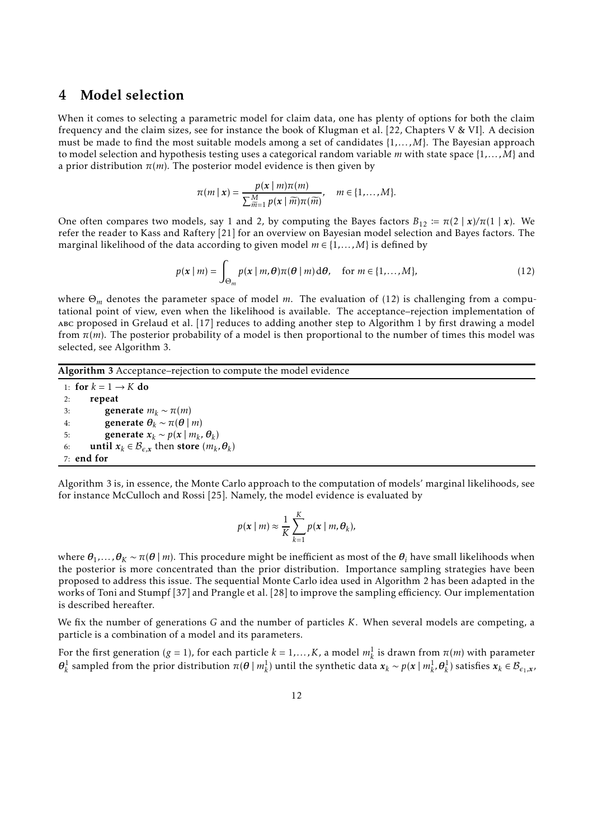### 4 Model selection

When it comes to selecting a parametric model for claim data, one has plenty of options for both the claim frequency and the claim sizes, see for instance the book of Klugman et al. [\[22](#page-29-12), Chapters V & VI]. A decision must be made to find the most suitable models among a set of candidates {1*,... ,M*}. The Bayesian approach to model selection and hypothesis testing uses a categorical random variable *m* with state space {1*,... ,M*} and a prior distribution *π*(*m*). The posterior model evidence is then given by

$$
\pi(m \mid \mathbf{x}) = \frac{p(\mathbf{x} \mid m)\pi(m)}{\sum_{\widetilde{m}=1}^M p(\mathbf{x} \mid \widetilde{m})\pi(\widetilde{m})}, \quad m \in \{1,\ldots,M\}.
$$

One often compares two models, say 1 and 2, by computing the Bayes factors  $B_{12} := \pi(2 \mid x)/\pi(1 \mid x)$ . We refer the reader to Kass and Raftery [\[21\]](#page-29-13) for an overview on Bayesian model selection and Bayes factors. The marginal likelihood of the data according to given model  $m \in \{1, \ldots, M\}$  is defined by

<span id="page-11-0"></span>
$$
p(\mathbf{x} \mid m) = \int_{\Theta_m} p(\mathbf{x} \mid m, \boldsymbol{\theta}) \pi(\boldsymbol{\theta} \mid m) \, d\boldsymbol{\theta}, \quad \text{for } m \in \{1, \dots, M\},
$$
 (12)

where Θ*<sup>m</sup>* denotes the parameter space of model *m*. The evaluation of [\(12\)](#page-11-0) is challenging from a computational point of view, even when the likelihood is available. The acceptance–rejection implementation of abc proposed in Grelaud et al. [\[17\]](#page-29-14) reduces to adding another step to [Algorithm 1](#page-3-1) by first drawing a model from  $\pi(m)$ . The posterior probability of a model is then proportional to the number of times this model was selected, see [Algorithm 3.](#page-11-1)

#### <span id="page-11-1"></span>Algorithm 3 Acceptance–rejection to compute the model evidence

1: for  $k = 1 \rightarrow K$  do<br>2: **repeat** repeat 3: generate  $m_k \sim \pi(m)$ <br>4. generate  $\theta_k \sim \pi(\theta)$ 4: generate  $\theta_k \sim \pi(\theta | m)$ <br>5: generate  $\mathbf{x}_k \sim p(\mathbf{x} | m_k)$ 5: generate  $x_k \sim p(x \mid m_k, \theta_k)$ 6: **until**  $x_k \in \mathcal{B}_{\epsilon,x}$  then store  $(m_k, \theta_k)$ 7: end for

[Algorithm 3](#page-11-1) is, in essence, the Monte Carlo approach to the computation of models' marginal likelihoods, see for instance McCulloch and Rossi [\[25](#page-30-12)]. Namely, the model evidence is evaluated by

$$
p(\mathbf{x} \mid m) \approx \frac{1}{K} \sum_{k=1}^{K} p(\mathbf{x} \mid m, \theta_k),
$$

where  $\theta_1$ ,...,  $\theta_K \sim \pi(\theta \mid m)$ . This procedure might be inefficient as most of the  $\theta_i$  have small likelihoods when the posterior is more concentrated than the prior distribution. Importance sampling strategies have been proposed to address this issue. The sequential Monte Carlo idea used in [Algorithm 2](#page-5-0) has been adapted in the works of Toni and Stumpf [37] and Prangle et al. [\[28](#page-30-13)] to improve the sampling efficiency. Our implementation is described hereafter.

We fix the number of generations *G* and the number of particles *K*. When several models are competing, a particle is a combination of a model and its parameters.

For the first generation ( $g = 1$ ), for each particle  $k = 1,...,K$ , a model  $m_k^1$  is drawn from  $\pi(m)$  with parameter  $\theta_k^1$  sampled from the prior distribution  $\pi(\theta | m_k^1)$  until the synthetic data  $x_k \sim p(x | m_k^1, \theta_k^1)$  satisfies  $x_k \in \mathcal{B}_{\epsilon_1,x}$ ,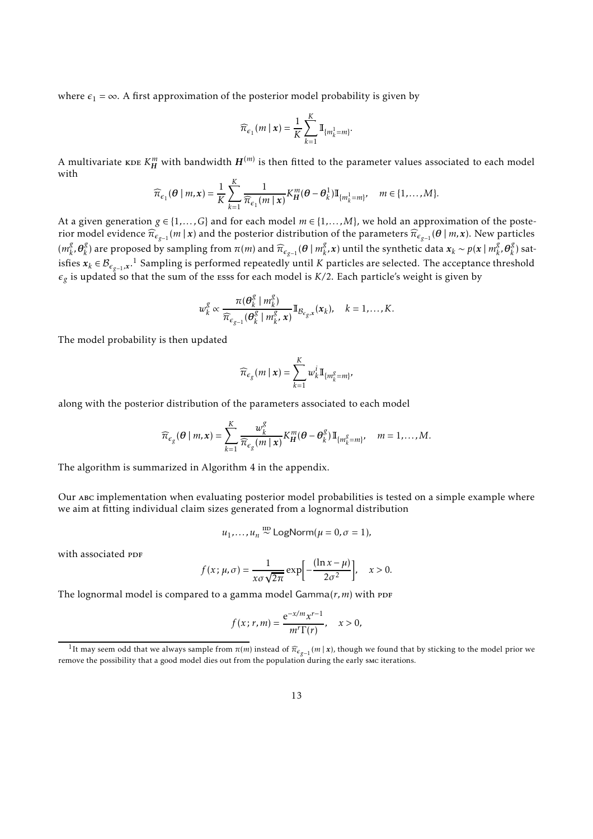where  $\epsilon_1 = \infty$ . A first approximation of the posterior model probability is given by

$$
\widehat{\pi}_{\epsilon_1}(m \mid \mathbf{x}) = \frac{1}{K} \sum_{k=1}^{K} \mathbb{I}_{\{m_k^1 = m\}}
$$

*.*

A multivariate  $\kappa$ DE  $K^m_H$  with bandwidth  $H^{(m)}$  is then fitted to the parameter values associated to each model with

$$
\widehat{\pi}_{\epsilon_1}(\boldsymbol{\theta} \mid m, \mathbf{x}) = \frac{1}{K} \sum_{k=1}^K \frac{1}{\widehat{\pi}_{\epsilon_1}(m \mid \mathbf{x})} K_H^m(\boldsymbol{\theta} - \boldsymbol{\theta}_k^1) \mathbb{I}_{\{m_k^1 = m\}}, \quad m \in \{1, \dots, M\}.
$$

At a given generation  $g \in \{1, ..., G\}$  and for each model  $m \in \{1, ..., M\}$ , we hold an approximation of the posterior model evidence  $\widehat{\pi}_{\epsilon_{g-1}}(m|x)$  and the posterior distribution of the parameters  $\widehat{\pi}_{\epsilon_{g-1}}(\theta|m,x)$ . New particles  $(m_k^g)$ *k ,θ g k*) are proposed by sampling from  $π(m)$  and  $\widehat{π}_{\epsilon_{g-1}}(θ | m_k^g)$ *k*<sup>,</sup>*x*) until the synthetic data  $x_k$  ∼  $p(x | m_k^g)$  $\frac{g}{k}$ *,*  $\boldsymbol{\theta}_k^g$  $\binom{8}{k}$  satisfies  $x_k \in B_{\epsilon_{g-1},x}$  $x_k \in B_{\epsilon_{g-1},x}$  $x_k \in B_{\epsilon_{g-1},x}$ .<sup>1</sup> Sampling is performed repeatedly until *K* particles are selected. The acceptance threshold  $\epsilon_g$  is updated so that the sum of the  $\mathrm{ess}$  for each model is  $K/2$ . Each particle's weight is given by

$$
w_k^g \propto \frac{\pi(\boldsymbol{\theta}_k^g \mid m_k^g)}{\widehat{\pi}_{\epsilon_{g-1}}(\boldsymbol{\theta}_k^g \mid m_k^g, \mathbf{x})} \mathbb{I}_{\mathcal{B}_{\epsilon_g, \mathbf{x}}}(\mathbf{x}_k), \quad k = 1, \ldots, K.
$$

The model probability is then updated

$$
\widehat{\pi}_{\epsilon_g}(m \mid \boldsymbol{x}) = \sum_{k=1}^K w_k^i \mathbb{I}_{\{m_k^g = m\}'}
$$

along with the posterior distribution of the parameters associated to each model

$$
\widehat{\pi}_{\epsilon_g}(\boldsymbol{\theta} \mid m, \mathbf{x}) = \sum_{k=1}^K \frac{w_k^g}{\widehat{\pi}_{\epsilon_g}(m \mid \mathbf{x})} K_H^m(\boldsymbol{\theta} - \boldsymbol{\theta}_k^g) \mathbb{I}_{\{m_k^g = m\}}, \quad m = 1, \dots, M.
$$

The algorithm is summarized in [Algorithm 4](#page-32-0) in the appendix.

Our abc implementation when evaluating posterior model probabilities is tested on a simple example where we aim at fitting individual claim sizes generated from a lognormal distribution

$$
u_1, \ldots, u_n \stackrel{\text{IID}}{\sim} \text{LogNorm}(\mu = 0, \sigma = 1),
$$

with associated ppF

$$
f(x; \mu, \sigma) = \frac{1}{x\sigma\sqrt{2\pi}} \exp\left[-\frac{(\ln x - \mu)}{2\sigma^2}\right], \quad x > 0.
$$

The lognormal model is compared to a gamma model  $Gamma(r, m)$  with PDF

$$
f(x; r, m) = \frac{e^{-x/m} x^{r-1}}{m^r \Gamma(r)}, \quad x > 0,
$$

<span id="page-12-0"></span><sup>&</sup>lt;sup>1</sup>It may seem odd that we always sample from  $\pi(m)$  instead of  $\widehat{\pi}_{\epsilon_{g-1}}(m|x)$ , though we found that by sticking to the model prior we remove the possibility that a good model dies out from the population during the early smc iterations.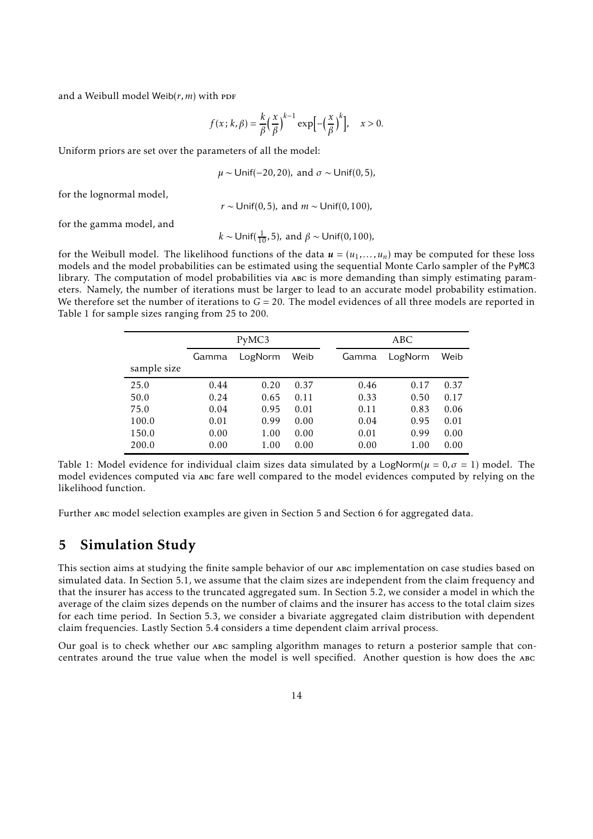and a Weibull model Weib $(r, m)$  with PDF

$$
f(x; k, \beta) = \frac{k}{\beta} \left(\frac{x}{\beta}\right)^{k-1} \exp\left[-\left(\frac{x}{\beta}\right)^k\right], \quad x > 0.
$$

Uniform priors are set over the parameters of all the model:

$$
\mu \sim \text{Unif}(-20, 20)
$$
, and  $\sigma \sim \text{Unif}(0, 5)$ ,

for the lognormal model,

*r* ∼ Unif(0*,*5)*,* and *m* ∼ Unif(0*,*100)*,*

for the gamma model, and

 $k$  ∼ Unif( $\frac{1}{10}$ ,5), and  $β$  ∼ Unif(0,100)*,* 

for the Weibull model. The likelihood functions of the data  $u = (u_1, \ldots, u_n)$  may be computed for these loss models and the model probabilities can be estimated using the sequential Monte Carlo sampler of the PyMC3 library. The computation of model probabilities via ABC is more demanding than simply estimating parameters. Namely, the number of iterations must be larger to lead to an accurate model probability estimation. We therefore set the number of iterations to  $G = 20$ . The model evidences of all three models are reported in [Table 1](#page-13-1) for sample sizes ranging from 25 to 200.

<span id="page-13-1"></span>

|             | PyMC3 |                 |      |  | ABC   |         |      |  |
|-------------|-------|-----------------|------|--|-------|---------|------|--|
|             | Gamma | Weib<br>LogNorm |      |  | Gamma | LogNorm | Weib |  |
| sample size |       |                 |      |  |       |         |      |  |
| 25.0        | 0.44  | 0.20            | 0.37 |  | 0.46  | 0.17    | 0.37 |  |
| 50.0        | 0.24  | 0.65            | 0.11 |  | 0.33  | 0.50    | 0.17 |  |
| 75.0        | 0.04  | 0.95            | 0.01 |  | 0.11  | 0.83    | 0.06 |  |
| 100.0       | 0.01  | 0.99            | 0.00 |  | 0.04  | 0.95    | 0.01 |  |
| 150.0       | 0.00  | 1.00            | 0.00 |  | 0.01  | 0.99    | 0.00 |  |
| 200.0       | 0.00  | 1.00            | 0.00 |  | 0.00  | 1.00    | 0.00 |  |
|             |       |                 |      |  |       |         |      |  |

Table 1: Model evidence for individual claim sizes data simulated by a LogNorm( $\mu = 0, \sigma = 1$ ) model. The model evidences computed via abc fare well compared to the model evidences computed by relying on the likelihood function.

<span id="page-13-0"></span>Further abc model selection examples are given in [Section 5](#page-13-0) and [Section 6](#page-23-0) for aggregated data.

### 5 Simulation Study

This section aims at studying the finite sample behavior of our ABC implementation on case studies based on simulated data. In [Section 5.1,](#page-14-0) we assume that the claim sizes are independent from the claim frequency and that the insurer has access to the truncated aggregated sum. In [Section 5.2,](#page-17-0) we consider a model in which the average of the claim sizes depends on the number of claims and the insurer has access to the total claim sizes for each time period. In [Section 5.3,](#page-18-0) we consider a bivariate aggregated claim distribution with dependent claim frequencies. Lastly [Section 5.4](#page-19-0) considers a time dependent claim arrival process.

Our goal is to check whether our abc sampling algorithm manages to return a posterior sample that concentrates around the true value when the model is well specified. Another question is how does the abc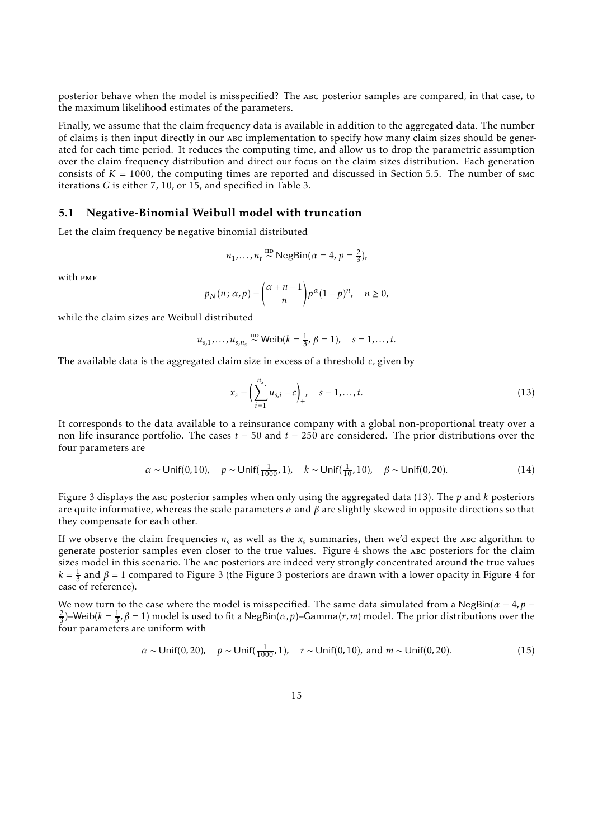posterior behave when the model is misspecified? The abc posterior samples are compared, in that case, to the maximum likelihood estimates of the parameters.

Finally, we assume that the claim frequency data is available in addition to the aggregated data. The number of claims is then input directly in our abc implementation to specify how many claim sizes should be generated for each time period. It reduces the computing time, and allow us to drop the parametric assumption over the claim frequency distribution and direct our focus on the claim sizes distribution. Each generation consists of  $K = 1000$ , the computing times are reported and discussed in [Section 5.5.](#page-22-0) The number of smc iterations *G* is either 7, 10, or 15, and specified in [Table 3.](#page-22-1)

#### <span id="page-14-0"></span>5.1 Negative-Binomial Weibull model with truncation

Let the claim frequency be negative binomial distributed

$$
n_1, \ldots, n_t \stackrel{\text{IID}}{\sim} \text{NegBin}(\alpha = 4, p = \frac{2}{3}),
$$

with **PMF** 

$$
p_N(n; \alpha, p) = {\alpha + n - 1 \choose n} p^{\alpha} (1-p)^n, \quad n \ge 0,
$$

while the claim sizes are Weibull distributed

$$
u_{s,1},..., u_{s,n_s} \stackrel{\text{up}}{\sim} \text{Weib}(k = \frac{1}{3}, \beta = 1), \quad s = 1,..., t.
$$

The available data is the aggregated claim size in excess of a threshold *c*, given by

<span id="page-14-1"></span>
$$
x_s = \left(\sum_{i=1}^{n_s} u_{s,i} - c\right)_+, \quad s = 1, \dots, t. \tag{13}
$$

It corresponds to the data available to a reinsurance company with a global non-proportional treaty over a non-life insurance portfolio. The cases *t* = 50 and *t* = 250 are considered. The prior distributions over the four parameters are

<span id="page-14-2"></span>
$$
\alpha \sim \text{Unif}(0, 10), \quad p \sim \text{Unif}(\frac{1}{1000}, 1), \quad k \sim \text{Unif}(\frac{1}{10}, 10), \quad \beta \sim \text{Unif}(0, 20).
$$
 (14)

[Figure 3](#page-15-0) displays the abc posterior samples when only using the aggregated data [\(13\).](#page-14-1) The *p* and *k* posteriors are quite informative, whereas the scale parameters  $\alpha$  and  $\beta$  are slightly skewed in opposite directions so that they compensate for each other.

If we observe the claim frequencies  $n<sub>s</sub>$  as well as the  $x<sub>s</sub>$  summaries, then we'd expect the abc algorithm to generate posterior samples even closer to the true values. [Figure 4](#page-15-1) shows the abc posteriors for the claim sizes model in this scenario. The ABC posteriors are indeed very strongly concentrated around the true values  $k=\frac{1}{3}$  and  $\beta=1$  compared to [Figure 3](#page-15-0) (the Figure 3 posteriors are drawn with a lower opacity in [Figure 4](#page-15-1) for ease of reference).

We now turn to the case where the model is misspecified. The same data simulated from a NegBin( $\alpha = 4$ ,  $p =$  $\frac{2}{3}$ )–Weib( $k=\frac{1}{3}$ ,  $\beta=1$ ) model is used to fit a NegBin( $\alpha$ ,  $p$ )–Gamma( $r$ , $m$ ) model. The prior distributions over the four parameters are uniform with

<span id="page-14-3"></span>
$$
\alpha \sim \text{Unif}(0, 20), \quad p \sim \text{Unif}(\frac{1}{1000}, 1), \quad r \sim \text{Unif}(0, 10), \text{ and } m \sim \text{Unif}(0, 20).
$$
 (15)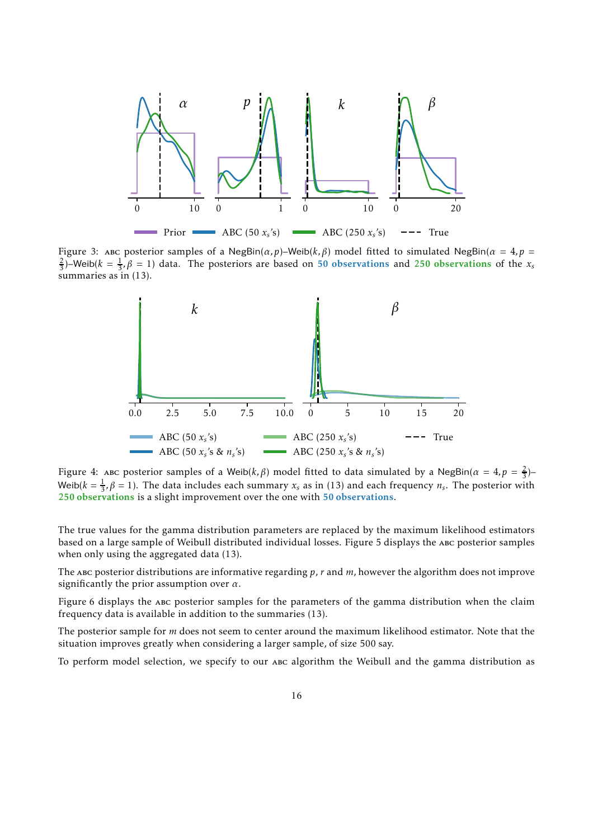<span id="page-15-0"></span>

<span id="page-15-1"></span>Figure 3: abc posterior samples of a NegBin(*α,p*)–Weib(*k,β*) model fitted to simulated NegBin(*α* = 4*,p* =  $\frac{2}{3}$ )–Weib( $k = \frac{1}{3}$ ,  $\beta = 1$ ) data. The posteriors are based on 50 observations and 250 observations of the *x<sub>s</sub>* summaries as in [\(13\).](#page-14-1)



Figure 4: ABC posterior samples of a Weib( $k, \beta$ ) model fitted to data simulated by a NegBin( $\alpha = 4, p = \frac{2}{3}$ ) Weib( $k = \frac{1}{3}$ ,  $\beta = 1$ ). The data includes each summary  $x_s$  as in [\(13\)](#page-14-1) and each frequency  $n_s$ . The posterior with 250 observations is a slight improvement over the one with 50 observations.

The true values for the gamma distribution parameters are replaced by the maximum likelihood estimators based on a large sample of Weibull distributed individual losses. [Figure 5](#page-16-0) displays the abc posterior samples when only using the aggregated data [\(13\).](#page-14-1)

The abc posterior distributions are informative regarding *p*, *r* and *m*, however the algorithm does not improve significantly the prior assumption over *α*.

[Figure 6](#page-16-1) displays the abc posterior samples for the parameters of the gamma distribution when the claim frequency data is available in addition to the summaries [\(13\).](#page-14-1)

The posterior sample for *m* does not seem to center around the maximum likelihood estimator. Note that the situation improves greatly when considering a larger sample, of size 500 say.

To perform model selection, we specify to our ABC algorithm the Weibull and the gamma distribution as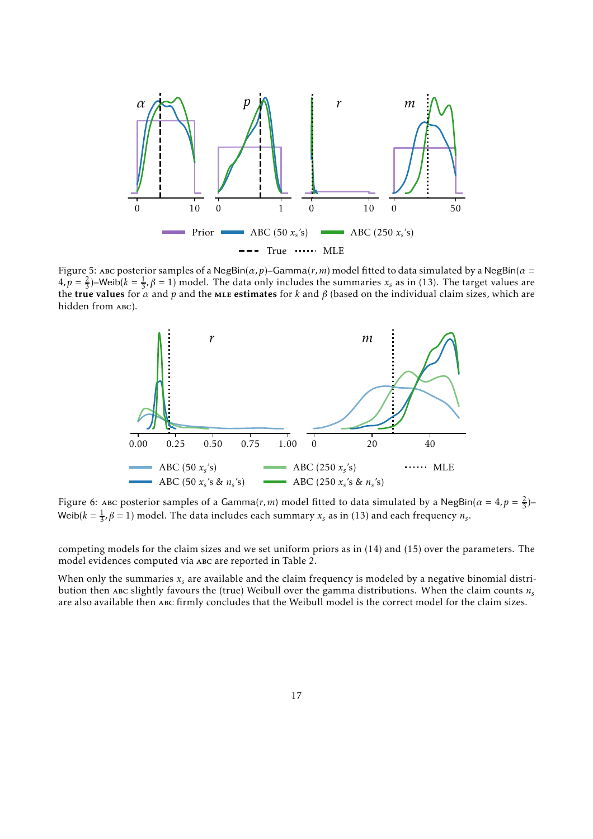<span id="page-16-0"></span>

<span id="page-16-1"></span>Figure 5: ABC posterior samples of a NegBin( $\alpha$ ,  $p$ )–Gamma( $r$ ,  $m$ ) model fitted to data simulated by a NegBin( $\alpha$  =  $(4, p = \frac{2}{3})$ –Weib $(k = \frac{1}{3}, \beta = 1)$  model. The data only includes the summaries  $x_s$  as in [\(13\).](#page-14-1) The target values are the true values for  $\alpha$  and  $p$  and the mLE estimates for  $k$  and  $\beta$  (based on the individual claim sizes, which are hidden from ABC).



Figure 6: ABC posterior samples of a Gamma(*r*,*m*) model fitted to data simulated by a NegBin( $\alpha = 4$ ,  $p = \frac{2}{3}$ )– Weib( $k = \frac{1}{3}$ ,  $\beta = 1$ ) model. The data includes each summary  $x_s$  as in [\(13\)](#page-14-1) and each frequency  $n_s$ .

competing models for the claim sizes and we set uniform priors as in [\(14\)](#page-14-2) and [\(15\)](#page-14-3) over the parameters. The model evidences computed via abc are reported in [Table 2.](#page-17-1)

When only the summaries *x<sup>s</sup>* are available and the claim frequency is modeled by a negative binomial distribution then abc slightly favours the (true) Weibull over the gamma distributions. When the claim counts  $n<sub>s</sub>$ are also available then abc firmly concludes that the Weibull model is the correct model for the claim sizes.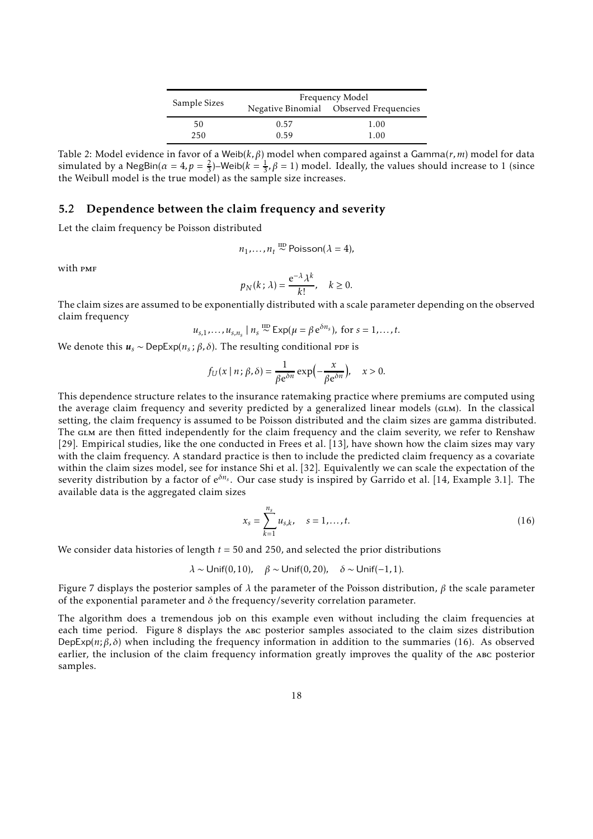|              | Frequency Model |                                        |  |  |
|--------------|-----------------|----------------------------------------|--|--|
| Sample Sizes |                 | Negative Binomial Observed Frequencies |  |  |
| 50           | 0.57            | 1.00                                   |  |  |
| 250          | 0.59            | 1.00                                   |  |  |

<span id="page-17-1"></span>Table 2: Model evidence in favor of a Weib(*k,β*) model when compared against a Gamma(*r,m*) model for data simulated by a NegBin( $\alpha = 4$ ,  $p = \frac{2}{3}$ )–Weib( $k = \frac{1}{3}$ ,  $\beta = 1$ ) model. Ideally, the values should increase to 1 (since the Weibull model is the true model) as the sample size increases.

#### <span id="page-17-0"></span>5.2 Dependence between the claim frequency and severity

Let the claim frequency be Poisson distributed

$$
n_1,\ldots,n_t \stackrel{\text{IID}}{\sim} \text{Poisson}(\lambda=4),
$$

with PMF

$$
p_N(k; \lambda) = \frac{e^{-\lambda} \lambda^k}{k!}, \quad k \ge 0.
$$

The claim sizes are assumed to be exponentially distributed with a scale parameter depending on the observed claim frequency

$$
u_{s,1},...,u_{s,n_s} | n_s \stackrel{\text{IID}}{\sim} \text{Exp}(\mu = \beta e^{\delta n_s}), \text{ for } s = 1,...,t.
$$

We denote this  $u_s \sim \text{DepExp}(n_s; \beta, \delta)$ . The resulting conditional ppr is

$$
f_U(x \mid n; \beta, \delta) = \frac{1}{\beta e^{\delta n}} \exp\left(-\frac{x}{\beta e^{\delta n}}\right), \quad x > 0.
$$

This dependence structure relates to the insurance ratemaking practice where premiums are computed using the average claim frequency and severity predicted by a generalized linear models (GLM). In the classical setting, the claim frequency is assumed to be Poisson distributed and the claim sizes are gamma distributed. The GLM are then fitted independently for the claim frequency and the claim severity, we refer to Renshaw [\[29\]](#page-30-14). Empirical studies, like the one conducted in Frees et al. [13], have shown how the claim sizes may vary with the claim frequency. A standard practice is then to include the predicted claim frequency as a covariate within the claim sizes model, see for instance Shi et al. [\[32\]](#page-30-15). Equivalently we can scale the expectation of the severity distribution by a factor of e*δn<sup>s</sup>* . Our case study is inspired by Garrido et al. [\[14,](#page-29-15) Example 3.1]. The available data is the aggregated claim sizes

<span id="page-17-2"></span>
$$
x_s = \sum_{k=1}^{n_s} u_{s,k}, \quad s = 1, \dots, t.
$$
 (16)

We consider data histories of length *t* = 50 and 250, and selected the prior distributions

*λ* ∼ Unif(0*,*10)*, β* ∼ Unif(0*,*20)*, δ* ∼ Unif(−1*,*1)*.*

[Figure 7](#page-18-1) displays the posterior samples of *λ* the parameter of the Poisson distribution, *β* the scale parameter of the exponential parameter and  $\delta$  the frequency/severity correlation parameter.

The algorithm does a tremendous job on this example even without including the claim frequencies at each time period. [Figure 8](#page-18-2) displays the ABC posterior samples associated to the claim sizes distribution DepExp( $n; \beta, \delta$ ) when including the frequency information in addition to the summaries [\(16\).](#page-17-2) As observed earlier, the inclusion of the claim frequency information greatly improves the quality of the abc posterior samples.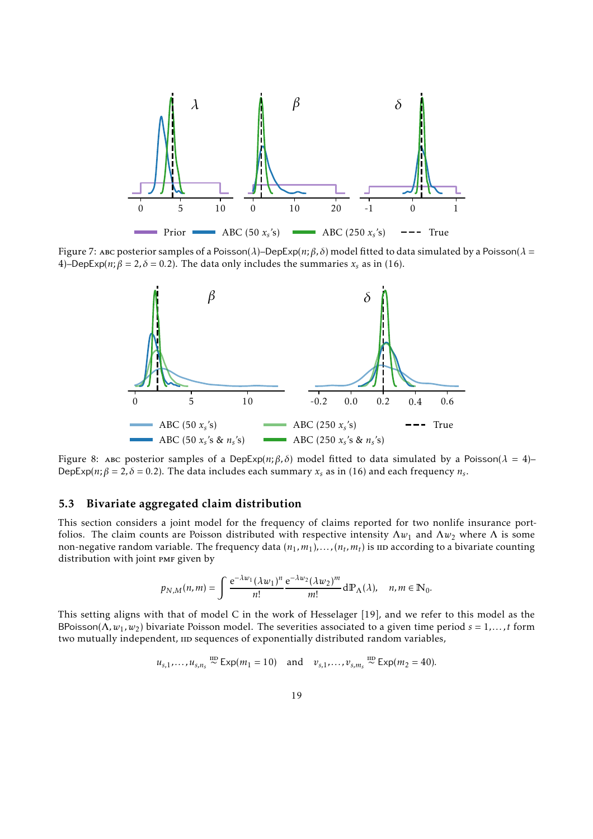<span id="page-18-1"></span>

<span id="page-18-2"></span>Figure 7: abc posterior samples of a Poisson(*λ*)–DepExp(*n*;*β, δ*) model fitted to data simulated by a Poisson(*λ* = 4)–DepExp(*n*;  $\beta = 2$ ,  $\delta = 0.2$ ). The data only includes the summaries  $x_s$  as in [\(16\).](#page-17-2)



Figure 8: ABC posterior samples of a DepExp(n;  $\beta$ ,  $\delta$ ) model fitted to data simulated by a Poisson( $\lambda = 4$ )– DepExp( $n; \beta = 2, \delta = 0.2$ ). The data includes each summary  $x_s$  as in [\(16\)](#page-17-2) and each frequency  $n_s$ .

#### <span id="page-18-0"></span>5.3 Bivariate aggregated claim distribution

This section considers a joint model for the frequency of claims reported for two nonlife insurance portfolios. The claim counts are Poisson distributed with respective intensity  $\Lambda w_1$  and  $\Lambda w_2$  where  $\Lambda$  is some non-negative random variable. The frequency data  $(n_1, m_1)$ ,..., $(n_t, m_t)$  is 11D according to a bivariate counting distribution with joint PMF given by

$$
p_{N,M}(n,m)=\int \frac{\mathrm{e}^{-\lambda w_1}(\lambda w_1)^n}{n!}\frac{\mathrm{e}^{-\lambda w_2}(\lambda w_2)^m}{m!}\,\mathrm{d}\mathbb{P}_{\Lambda}(\lambda),\quad n,m\in\mathbb{N}_0.
$$

This setting aligns with that of model C in the work of Hesselager [\[19\]](#page-29-16), and we refer to this model as the BPoisson( $\Lambda$ ,  $w_1$ ,  $w_2$ ) bivariate Poisson model. The severities associated to a given time period  $s = 1, ..., t$  form two mutually independent,  $\mu$  sequences of exponentially distributed random variables,

$$
u_{s,1},\ldots,u_{s,n_s} \stackrel{\text{IID}}{\sim} \text{Exp}(m_1=10)
$$
 and  $v_{s,1},\ldots,v_{s,m_s} \stackrel{\text{IID}}{\sim} \text{Exp}(m_2=40)$ .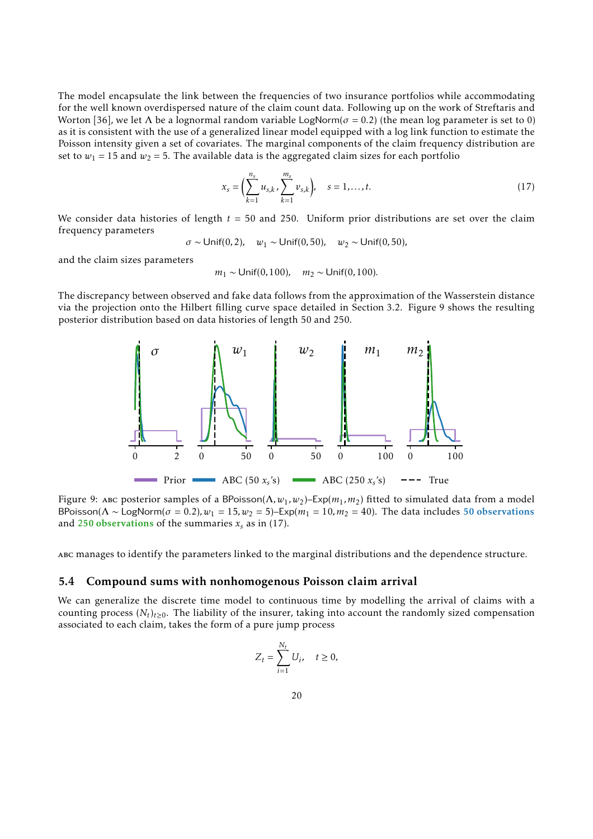The model encapsulate the link between the frequencies of two insurance portfolios while accommodating for the well known overdispersed nature of the claim count data. Following up on the work of Streftaris and Worton [\[36\]](#page-30-16), we let  $\Lambda$  be a lognormal random variable LogNorm( $\sigma$  = 0.2) (the mean log parameter is set to 0) as it is consistent with the use of a generalized linear model equipped with a log link function to estimate the Poisson intensity given a set of covariates. The marginal components of the claim frequency distribution are set to  $w_1 = 15$  and  $w_2 = 5$ . The available data is the aggregated claim sizes for each portfolio

<span id="page-19-2"></span>
$$
x_s = \left(\sum_{k=1}^{n_s} u_{s,k}, \sum_{k=1}^{m_s} v_{s,k}\right), \quad s = 1, \dots, t. \tag{17}
$$

We consider data histories of length *t* = 50 and 250. Uniform prior distributions are set over the claim frequency parameters

$$
\sigma \sim \text{Unif}(0, 2), \quad w_1 \sim \text{Unif}(0, 50), \quad w_2 \sim \text{Unif}(0, 50),
$$

and the claim sizes parameters

$$
m_1 \sim \text{Unif}(0, 100), \quad m_2 \sim \text{Unif}(0, 100).
$$

<span id="page-19-1"></span>The discrepancy between observed and fake data follows from the approximation of the Wasserstein distance via the projection onto the Hilbert filling curve space detailed in [Section 3.2.](#page-8-0) [Figure 9](#page-19-1) shows the resulting posterior distribution based on data histories of length 50 and 250.



Figure 9: ABC posterior samples of a BPoisson( $Λ, w_1, w_2$ )–Exp( $m_1, m_2$ ) fitted to simulated data from a model BPoisson( $\Lambda \sim$  LogNorm( $\sigma = 0.2$ ),  $w_1 = 15$ ,  $w_2 = 5$ )–Exp( $m_1 = 10$ ,  $m_2 = 40$ ). The data includes 50 observations and 250 observations of the summaries  $x_s$  as in [\(17\)](#page-19-2).

<span id="page-19-0"></span>abc manages to identify the parameters linked to the marginal distributions and the dependence structure.

#### 5.4 Compound sums with nonhomogenous Poisson claim arrival

We can generalize the discrete time model to continuous time by modelling the arrival of claims with a counting process  $(N_t)_{t\geq0}$ . The liability of the insurer, taking into account the randomly sized compensation associated to each claim, takes the form of a pure jump process

$$
Z_t = \sum_{i=1}^{N_t} U_i, \quad t \ge 0,
$$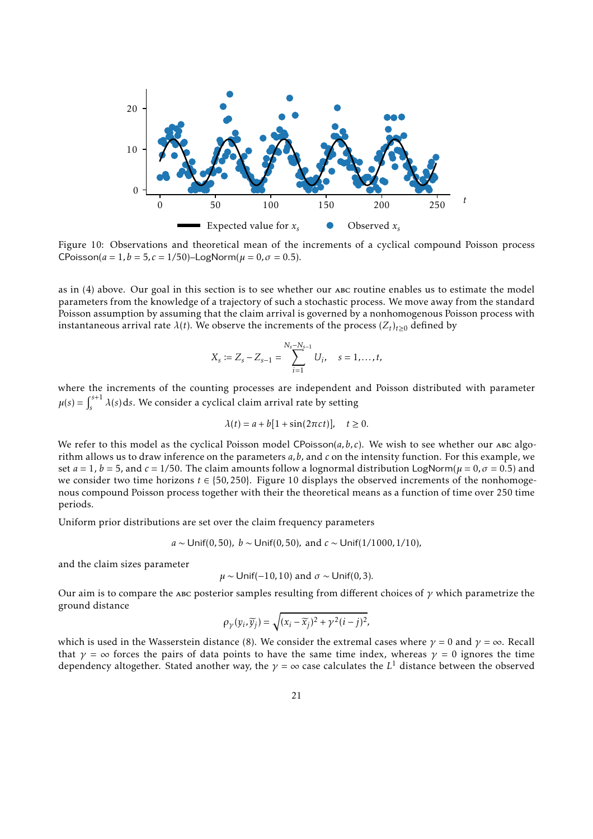<span id="page-20-0"></span>

Figure 10: Observations and theoretical mean of the increments of a cyclical compound Poisson process CPoisson( $a = 1, b = 5, c = 1/50$ )–LogNorm( $\mu = 0, \sigma = 0.5$ ).

as in [\(4\)](#page-1-2) above. Our goal in this section is to see whether our ABC routine enables us to estimate the model parameters from the knowledge of a trajectory of such a stochastic process. We move away from the standard Poisson assumption by assuming that the claim arrival is governed by a nonhomogenous Poisson process with instantaneous arrival rate  $\lambda(t)$ . We observe the increments of the process  $(Z_t)_{t\geq0}$  defined by

$$
X_s := Z_s - Z_{s-1} = \sum_{i=1}^{N_s - N_{s-1}} U_i, \quad s = 1, \dots, t,
$$

where the increments of the counting processes are independent and Poisson distributed with parameter  $\mu(s) = \int_{s}^{s+1}$  $\int_{s}^{s+1} \lambda(s) \, ds$ . We consider a cyclical claim arrival rate by setting

$$
\lambda(t) = a + b[1 + \sin(2\pi ct)], \quad t \ge 0.
$$

We refer to this model as the cyclical Poisson model CPoisson( $a, b, c$ ). We wish to see whether our ABC algorithm allows us to draw inference on the parameters *a,b,* and *c* on the intensity function. For this example, we set  $a = 1$ ,  $b = 5$ , and  $c = 1/50$ . The claim amounts follow a lognormal distribution LogNorm( $\mu = 0$ ,  $\sigma = 0.5$ ) and we consider two time horizons *t* ∈ {50*,*250}. [Figure 10](#page-20-0) displays the observed increments of the nonhomogenous compound Poisson process together with their the theoretical means as a function of time over 250 time periods.

Uniform prior distributions are set over the claim frequency parameters

$$
a \sim \text{Unif}(0, 50), b \sim \text{Unif}(0, 50), \text{ and } c \sim \text{Unif}(1/1000, 1/10),
$$

and the claim sizes parameter

$$
\mu \sim \text{Unif}(-10, 10)
$$
 and  $\sigma \sim \text{Unif}(0, 3)$ .

Our aim is to compare the abc posterior samples resulting from different choices of *γ* which parametrize the ground distance

$$
\rho_{\gamma}(y_i,\widetilde{y}_j)=\sqrt{(x_i-\widetilde{x}_j)^2+\gamma^2(i-j)^2},
$$

which is used in the Wasserstein distance [\(8\)](#page-6-2). We consider the extremal cases where  $\gamma = 0$  and  $\gamma = \infty$ . Recall that  $\gamma = \infty$  forces the pairs of data points to have the same time index, whereas  $\gamma = 0$  ignores the time dependency altogether. Stated another way, the  $\gamma = \infty$  case calculates the  $L^1$  distance between the observed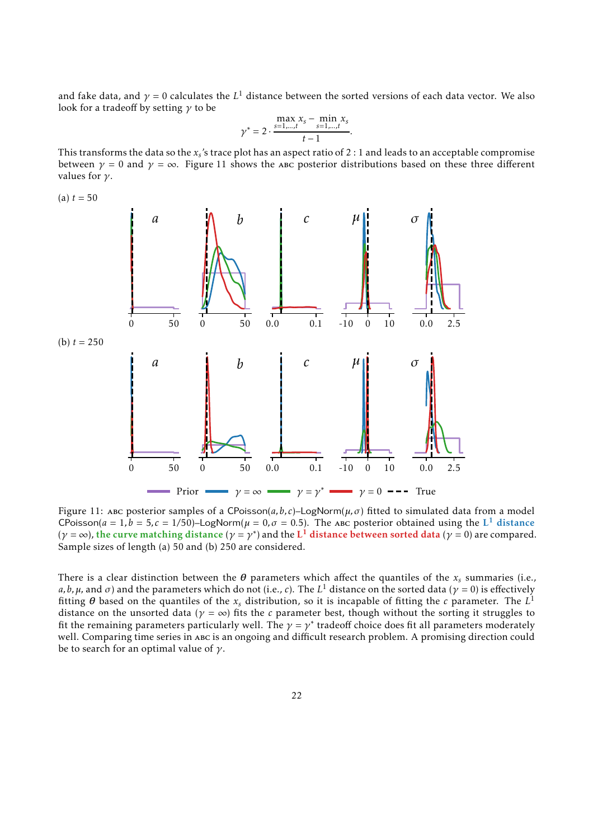and fake data, and  $\gamma$  = 0 calculates the  $L^1$  distance between the sorted versions of each data vector. We also look for a tradeoff by setting *γ* to be

$$
\gamma^* = 2 \cdot \frac{\max\limits_{s=1,\dots,t} x_s - \min\limits_{s=1,\dots,t} x_s}{t-1}.
$$

This transforms the data so the  $x_s$ 's trace plot has an aspect ratio of 2 : 1 and leads to an acceptable compromise between  $\gamma = 0$  and  $\gamma = \infty$ . [Figure 11](#page-21-0) shows the abc posterior distributions based on these three different values for *γ*.

<span id="page-21-0"></span>

Figure 11: abc posterior samples of a CPoisson(*a,b, c*)–LogNorm(*µ,σ*) fitted to simulated data from a model CPoisson( $a = 1$ ,  $b = 5$ ,  $c = 1/50$ )–LogNorm( $\mu = 0$ ,  $\sigma = 0.5$ ). The ABC posterior obtained using the L<sup>1</sup> distance  $(\gamma = \infty)$ , the curve matching distance  $(\gamma = \gamma^*)$  and the  $L^1$  distance between sorted data  $(\gamma = 0)$  are compared. Sample sizes of length (a) 50 and (b) 250 are considered.

There is a clear distinction between the  $\theta$  parameters which affect the quantiles of the  $x_s$  summaries (i.e., *a,b,µ,* and *σ*) and the parameters which do not (i.e., *c*). The *L*<sup>1</sup> distance on the sorted data ( $\gamma$  = 0) is effectively fitting  $\theta$  based on the quantiles of the  $x_s$  distribution, so it is incapable of fitting the  $c$  parameter. The  $L^1$ distance on the unsorted data ( $\gamma = \infty$ ) fits the *c* parameter best, though without the sorting it struggles to fit the remaining parameters particularly well. The  $\gamma = \gamma^*$  tradeoff choice does fit all parameters moderately well. Comparing time series in abc is an ongoing and difficult research problem. A promising direction could be to search for an optimal value of *γ*.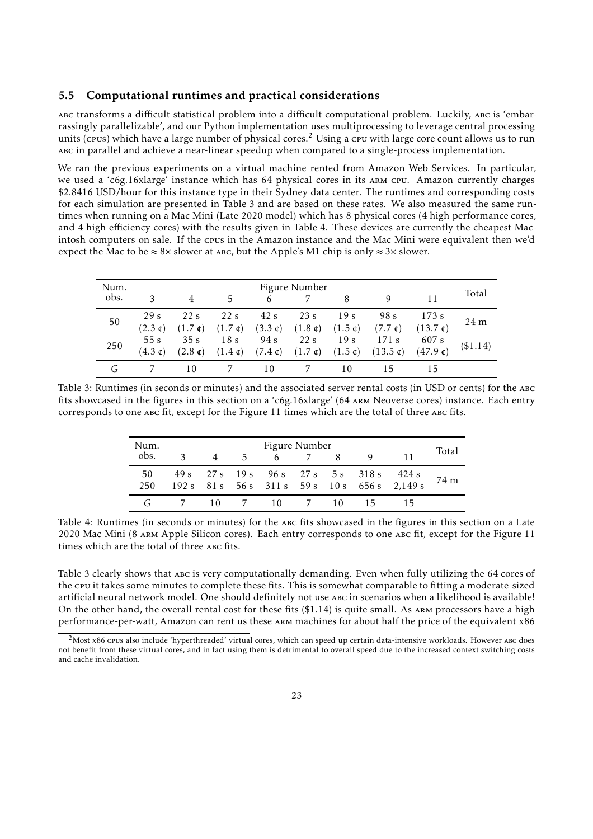#### <span id="page-22-0"></span>5.5 Computational runtimes and practical considerations

abc transforms a difficult statistical problem into a difficult computational problem. Luckily, abc is 'embarrassingly parallelizable', and our Python implementation uses multiprocessing to leverage central processing units (cpus) which have a large number of physical cores.<sup>[2](#page-22-2)</sup> Using a cpu with large core count allows us to run abc in parallel and achieve a near-linear speedup when compared to a single-process implementation.

We ran the previous experiments on a virtual machine rented from Amazon Web Services. In particular, we used a 'c6g.16xlarge' instance which has 64 physical cores in its arm cpu. Amazon currently charges \$2.8416 USD/hour for this instance type in their Sydney data center. The runtimes and corresponding costs for each simulation are presented in [Table 3](#page-22-1) and are based on these rates. We also measured the same runtimes when running on a Mac Mini (Late 2020 model) which has 8 physical cores (4 high performance cores, and 4 high efficiency cores) with the results given in [Table 4.](#page-22-3) These devices are currently the cheapest Macintosh computers on sale. If the cpus in the Amazon instance and the Mac Mini were equivalent then we'd expect the Mac to be  $\approx 8 \times$  slower at ABC, but the Apple's M1 chip is only  $\approx 3 \times$  slower.

<span id="page-22-1"></span>

| Num.<br>obs. | 3                                    |                          | 5                                               | 6                                    | Figure Number                       |                                            | 9                                      | 11                          | Total           |
|--------------|--------------------------------------|--------------------------|-------------------------------------------------|--------------------------------------|-------------------------------------|--------------------------------------------|----------------------------------------|-----------------------------|-----------------|
| 50           | 29 <sub>s</sub><br>$(2.3 \text{ c})$ | 22s<br>$(1.7 \text{ c})$ | 22 s<br>$(1.7 \text{ }\mathfrak{c})$            | 42s<br>$(3.3 \text{ }\mathfrak{c})$  | 23s<br>$(1.8 \text{ }\mathfrak{c})$ | 19 s<br>$(1.5 \; \mathfrak{c})$            | 98 s<br>$(7.7 \text{ } \mathfrak{c})$  | 173 s<br>(13.7)             | 24 <sub>m</sub> |
| 250          | 55s<br>$(4.3 \text{ c})$             | 35s<br>$(2.8 \text{ c})$ | 18 <sub>s</sub><br>$(1.4 \text{ }\mathfrak{c})$ | 94 s<br>$(7.4 \text{ }\mathfrak{c})$ | 22s<br>$(1.7 \text{ }\mathfrak{c})$ | 19 <sub>s</sub><br>$(1.5 \; \mathfrak{c})$ | 171 s<br>$(13.5 \text{ }\mathfrak{c})$ | 607 s<br>$(47.9 \text{ c})$ | (\$1.14)        |
|              |                                      | 10                       |                                                 | 10                                   |                                     | 10                                         |                                        |                             |                 |

<span id="page-22-3"></span>Table 3: Runtimes (in seconds or minutes) and the associated server rental costs (in USD or cents) for the abc fits showcased in the figures in this section on a 'c6g.16xlarge' (64 arm Neoverse cores) instance. Each entry corresponds to one abc fit, except for the [Figure 11](#page-21-0) times which are the total of three abc fits.

| Num. | Figure Number |    |                 |      |  |    |    |                                                                                           |       |
|------|---------------|----|-----------------|------|--|----|----|-------------------------------------------------------------------------------------------|-------|
| obs. | $\mathbf{R}$  | 4  | $5 -$           | 6    |  |    | Q, |                                                                                           | Total |
| 50   |               |    |                 |      |  |    |    | 49 s 27 s 19 s 96 s 27 s 5 s 318 s 424 s<br>192 s 81 s 56 s 311 s 59 s 10 s 656 s 2,149 s | 74 m  |
| 250  |               |    |                 |      |  |    |    |                                                                                           |       |
|      |               | 10 | $7\overline{)}$ | -10- |  | 10 |    |                                                                                           |       |

Table 4: Runtimes (in seconds or minutes) for the abc fits showcased in the figures in this section on a Late 2020 Mac Mini (8 arm Apple Silicon cores). Each entry corresponds to one abc fit, except for the [Figure 11](#page-21-0) times which are the total of three abc fits.

[Table 3](#page-22-1) clearly shows that abc is very computationally demanding. Even when fully utilizing the 64 cores of the cpu it takes some minutes to complete these fits. This is somewhat comparable to fitting a moderate-sized artificial neural network model. One should definitely not use abc in scenarios when a likelihood is available! On the other hand, the overall rental cost for these fits  $($1.14)$  is quite small. As ARM processors have a high performance-per-watt, Amazon can rent us these arm machines for about half the price of the equivalent x86

<span id="page-22-2"></span> $<sup>2</sup>$ Most x86 cpus also include 'hyperthreaded' virtual cores, which can speed up certain data-intensive workloads. However abc does</sup> not benefit from these virtual cores, and in fact using them is detrimental to overall speed due to the increased context switching costs and cache invalidation.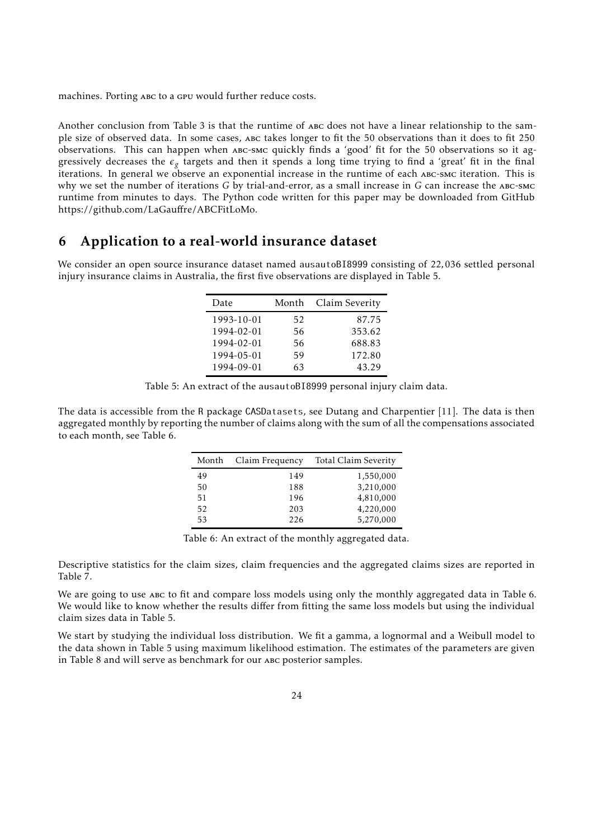machines. Porting ABC to a GPU would further reduce costs.

Another conclusion from [Table 3](#page-22-1) is that the runtime of abc does not have a linear relationship to the sample size of observed data. In some cases, abc takes longer to fit the 50 observations than it does to fit 250 observations. This can happen when abc-smc quickly finds a 'good' fit for the 50 observations so it aggressively decreases the  $\epsilon_g$  targets and then it spends a long time trying to find a 'great' fit in the final iterations. In general we observe an exponential increase in the runtime of each abc-smc iteration. This is why we set the number of iterations *G* by trial-and-error, as a small increase in *G* can increase the abc-smc runtime from minutes to days. The Python code written for this paper may be downloaded from GitHub [https://github.com/LaGau](https://github.com/LaGauffre/ABCFitLoMo)ffre/ABCFitLoMo.

## <span id="page-23-0"></span>6 Application to a real-world insurance dataset

<span id="page-23-1"></span>We consider an open source insurance dataset named ausautoBI8999 consisting of 22*,*036 settled personal injury insurance claims in Australia, the first five observations are displayed in [Table 5.](#page-23-1)

| Date       | Month | Claim Severity |  |  |
|------------|-------|----------------|--|--|
| 1993-10-01 | 52    | 87.75          |  |  |
| 1994-02-01 | 56    | 353.62         |  |  |
| 1994-02-01 | 56    | 688.83         |  |  |
| 1994-05-01 | 59    | 172.80         |  |  |
| 1994-09-01 | 63    | 43.29          |  |  |

Table 5: An extract of the ausautoBI8999 personal injury claim data.

<span id="page-23-2"></span>The data is accessible from the R package CASDatasets, see Dutang and Charpentier [\[11\]](#page-29-17). The data is then aggregated monthly by reporting the number of claims along with the sum of all the compensations associated to each month, see [Table 6.](#page-23-2)

| Month | Claim Frequency | Total Claim Severity |
|-------|-----------------|----------------------|
| 49    | 149             | 1,550,000            |
| 50    | 188             | 3,210,000            |
| 51    | 196             | 4,810,000            |
| 52    | 203             | 4,220,000            |
| 53    | 226             | 5,270,000            |

Table 6: An extract of the monthly aggregated data.

Descriptive statistics for the claim sizes, claim frequencies and the aggregated claims sizes are reported in [Table 7.](#page-24-0)

We are going to use ABC to fit and compare loss models using only the monthly aggregated data in [Table 6.](#page-23-2) We would like to know whether the results differ from fitting the same loss models but using the individual claim sizes data in [Table 5.](#page-23-1)

We start by studying the individual loss distribution. We fit a gamma, a lognormal and a Weibull model to the data shown in [Table 5](#page-23-1) using maximum likelihood estimation. The estimates of the parameters are given in [Table 8](#page-24-1) and will serve as benchmark for our ABC posterior samples.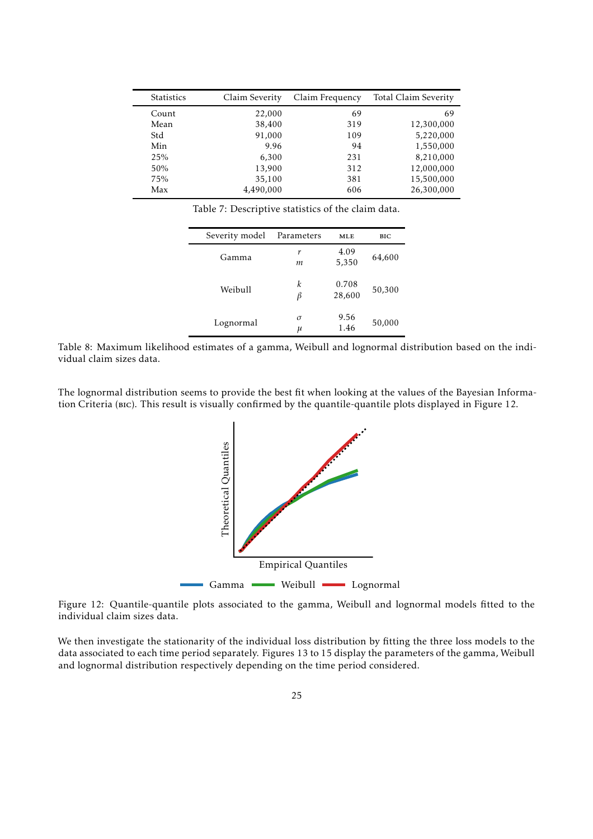<span id="page-24-0"></span>

| <b>Statistics</b> | Claim Severity | Claim Frequency | Total Claim Severity |
|-------------------|----------------|-----------------|----------------------|
| Count             | 22,000         | 69              | 69                   |
| Mean              | 38,400         | 319             | 12,300,000           |
| Std               | 91,000         | 109             | 5,220,000            |
| Min               | 9.96           | 94              | 1,550,000            |
| 25%               | 6,300          | 231             | 8,210,000            |
| 50%               | 13,900         | 312             | 12,000,000           |
| 75%               | 35,100         | 381             | 15,500,000           |
| Max               | 4,490,000      | 606             | 26,300,000           |

Table 7: Descriptive statistics of the claim data.

| Severity model | Parameters    | MLE             | BIC    |
|----------------|---------------|-----------------|--------|
| Gamma          | r<br>m        | 4.09<br>5,350   | 64,600 |
| Weibull        | k<br>β        | 0.708<br>28,600 | 50,300 |
| Lognormal      | $\sigma$<br>μ | 9.56<br>1.46    | 50,000 |

<span id="page-24-1"></span>Table 8: Maximum likelihood estimates of a gamma, Weibull and lognormal distribution based on the individual claim sizes data.

<span id="page-24-2"></span>The lognormal distribution seems to provide the best fit when looking at the values of the Bayesian Information Criteria (bic). This result is visually confirmed by the quantile-quantile plots displayed in [Figure 12.](#page-24-2)



Figure 12: Quantile-quantile plots associated to the gamma, Weibull and lognormal models fitted to the individual claim sizes data.

We then investigate the stationarity of the individual loss distribution by fitting the three loss models to the data associated to each time period separately. [Figures 13](#page-25-0) to [15](#page-25-1) display the parameters of the gamma, Weibull and lognormal distribution respectively depending on the time period considered.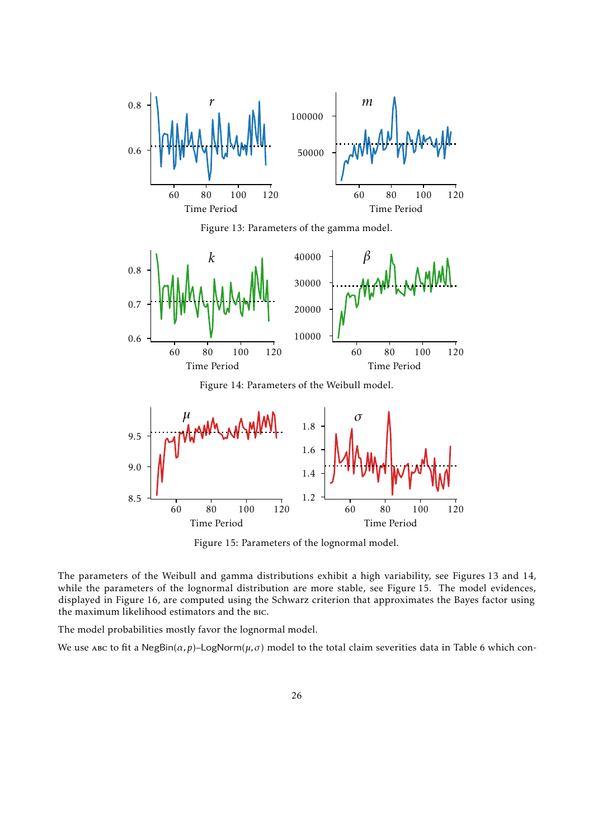<span id="page-25-0"></span>

Figure 13: Parameters of the gamma model.

<span id="page-25-2"></span>

Figure 14: Parameters of the Weibull model.

<span id="page-25-1"></span>

Figure 15: Parameters of the lognormal model.

The parameters of the Weibull and gamma distributions exhibit a high variability, see [Figures 13](#page-25-0) and [14,](#page-25-2) while the parameters of the lognormal distribution are more stable, see [Figure 15.](#page-25-1) The model evidences, displayed in [Figure 16,](#page-26-0) are computed using the Schwarz criterion that approximates the Bayes factor using the maximum likelihood estimators and the bic.

The model probabilities mostly favor the lognormal model.

We use abc to fit a NegBin( $\alpha$ , p)–LogNorm( $\mu$ ,  $\sigma$ ) model to the total claim severities data in [Table 6](#page-23-2) which con-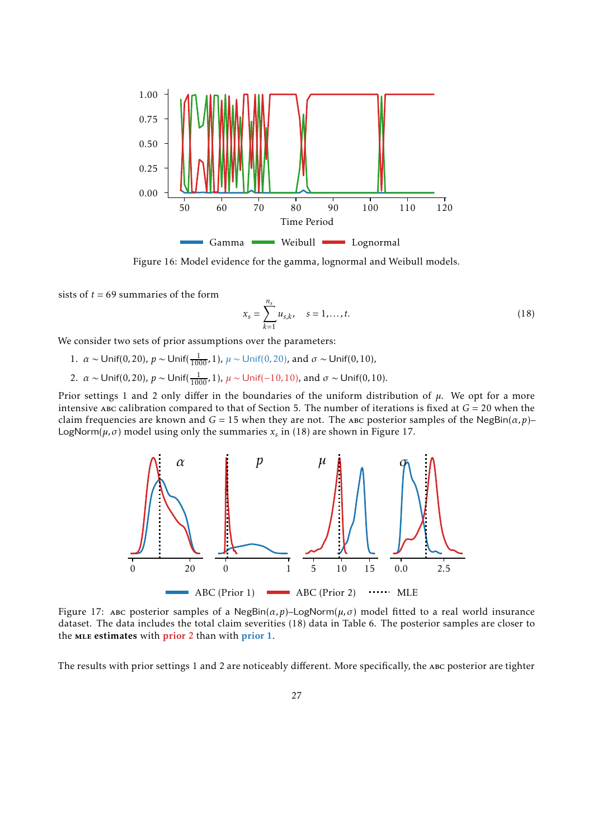<span id="page-26-0"></span>

Figure 16: Model evidence for the gamma, lognormal and Weibull models.

sists of  $t = 69$  summaries of the form

<span id="page-26-1"></span>
$$
x_s = \sum_{k=1}^{n_s} u_{s,k}, \quad s = 1, \dots, t.
$$
 (18)

We consider two sets of prior assumptions over the parameters:

- 1. *α* ∼ Unif(0,20), *p* ∼ Unif( $\frac{1}{1000}$ , 1), *μ* ∼ Unif(0,20), and *σ* ∼ Unif(0,10),
- 2.  $\alpha \sim$  Unif(0,20),  $p \sim$  Unif( $\frac{1}{1000}$ , 1),  $\mu \sim$  Unif( $-10, 10$ ), and  $\sigma \sim$  Unif(0,10).

<span id="page-26-2"></span>Prior settings 1 and 2 only differ in the boundaries of the uniform distribution of *µ*. We opt for a more intensive abc calibration compared to that of [Section 5.](#page-13-0) The number of iterations is fixed at *G* = 20 when the claim frequencies are known and  $G = 15$  when they are not. The ABC posterior samples of the NegBin( $\alpha$ , p)– LogNorm(*µ,σ*) model using only the summaries *x<sup>s</sup>* in [\(18\)](#page-26-1) are shown in [Figure 17.](#page-26-2)



Figure 17: ABC posterior samples of a NegBin( $\alpha$ , p)-LogNorm( $\mu$ ,  $\sigma$ ) model fitted to a real world insurance dataset. The data includes the total claim severities [\(18\)](#page-26-1) data in [Table 6.](#page-23-2) The posterior samples are closer to the MLE estimates with prior 2 than with prior 1.

The results with prior settings 1 and 2 are noticeably different. More specifically, the ABC posterior are tighter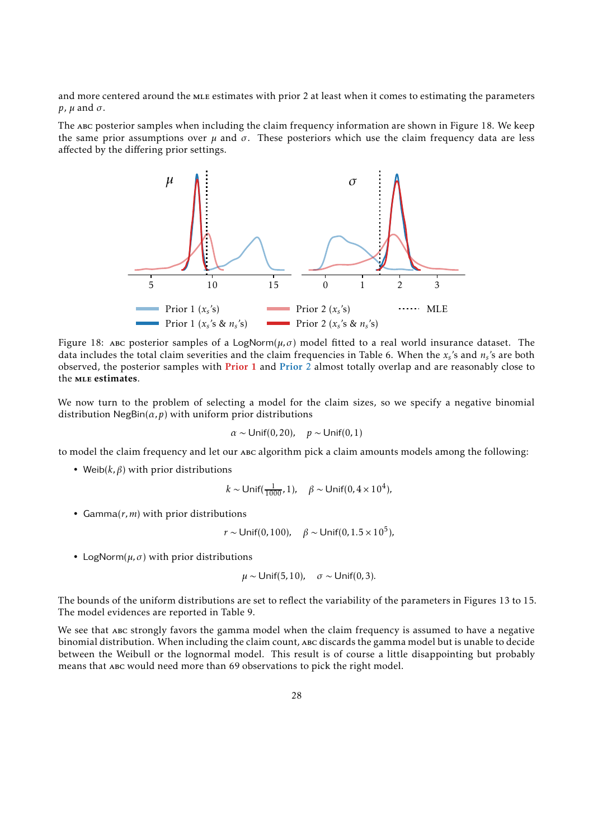and more centered around the MLE estimates with prior 2 at least when it comes to estimating the parameters *p*,  $\mu$  and  $\sigma$ .

<span id="page-27-0"></span>The abc posterior samples when including the claim frequency information are shown in [Figure 18.](#page-27-0) We keep the same prior assumptions over  $\mu$  and  $\sigma$ . These posteriors which use the claim frequency data are less affected by the differing prior settings.



Figure 18: ABC posterior samples of a LogNorm( $\mu$ , $\sigma$ ) model fitted to a real world insurance dataset. The data includes the total claim severities and the claim frequencies in [Table 6.](#page-23-2) When the *x<sup>s</sup>* 's and *n<sup>s</sup>* 's are both observed, the posterior samples with **Prior 1 and Prior**  $\hat{2}$  almost totally overlap and are reasonably close to the **MLE** estimates.

We now turn to the problem of selecting a model for the claim sizes, so we specify a negative binomial distribution  $NegBin(\alpha, p)$  with uniform prior distributions

$$
\alpha \sim \text{Unif}(0, 20), \quad p \sim \text{Unif}(0, 1)
$$

to model the claim frequency and let our abc algorithm pick a claim amounts models among the following:

• Weib $(k, \beta)$  with prior distributions

$$
k \sim \text{Unif}(\frac{1}{1000}, 1), \quad \beta \sim \text{Unif}(0, 4 \times 10^4),
$$

• Gamma(*r,m*) with prior distributions

$$
r \sim
$$
Unif(0, 100),  $\beta \sim$ Unif(0, 1.5 × 10<sup>5</sup>),

• LogNorm( $\mu$ , $\sigma$ ) with prior distributions

$$
\mu \sim \text{Unif}(5, 10), \quad \sigma \sim \text{Unif}(0, 3).
$$

The bounds of the uniform distributions are set to reflect the variability of the parameters in [Figures 13](#page-25-0) to [15.](#page-25-1) The model evidences are reported in [Table 9.](#page-28-5)

We see that abc strongly favors the gamma model when the claim frequency is assumed to have a negative binomial distribution. When including the claim count, abc discards the gamma model but is unable to decide between the Weibull or the lognormal model. This result is of course a little disappointing but probably means that abc would need more than 69 observations to pick the right model.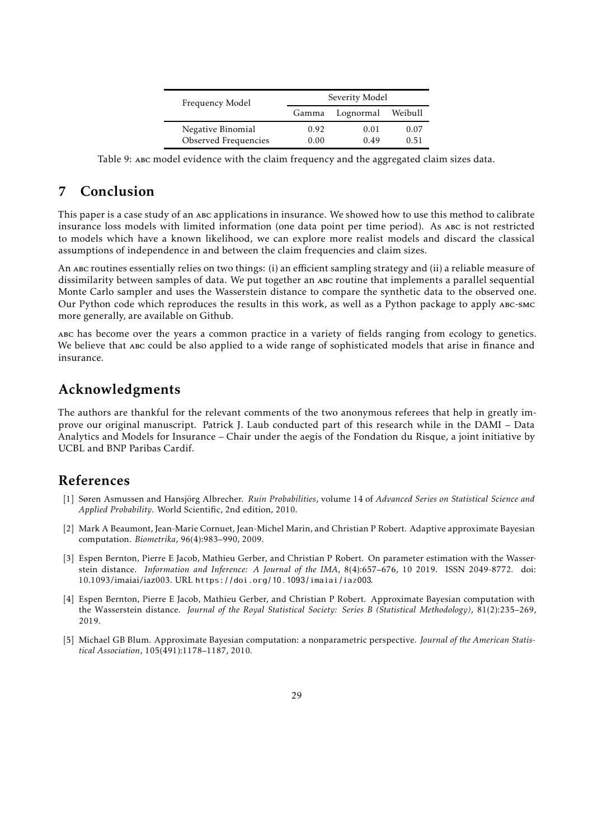| Frequency Model                           | Severity Model |              |              |  |  |
|-------------------------------------------|----------------|--------------|--------------|--|--|
|                                           | Gamma          | Lognormal    | Weibull      |  |  |
| Negative Binomial<br>Observed Frequencies | 0.92<br>0.00   | 0.01<br>0.49 | 0.07<br>O 51 |  |  |
|                                           |                |              |              |  |  |

<span id="page-28-5"></span>Table 9: abc model evidence with the claim frequency and the aggregated claim sizes data.

# 7 Conclusion

This paper is a case study of an abc applications in insurance. We showed how to use this method to calibrate insurance loss models with limited information (one data point per time period). As abc is not restricted to models which have a known likelihood, we can explore more realist models and discard the classical assumptions of independence in and between the claim frequencies and claim sizes.

An abc routines essentially relies on two things: (i) an efficient sampling strategy and (ii) a reliable measure of dissimilarity between samples of data. We put together an abc routine that implements a parallel sequential Monte Carlo sampler and uses the Wasserstein distance to compare the synthetic data to the observed one. Our Python code which reproduces the results in this work, as well as a Python package to apply abc-smc more generally, are available on Github.

abc has become over the years a common practice in a variety of fields ranging from ecology to genetics. We believe that abc could be also applied to a wide range of sophisticated models that arise in finance and insurance.

## Acknowledgments

The authors are thankful for the relevant comments of the two anonymous referees that help in greatly improve our original manuscript. Patrick J. Laub conducted part of this research while in the DAMI – Data Analytics and Models for Insurance – Chair under the aegis of the Fondation du Risque, a joint initiative by UCBL and BNP Paribas Cardif.

# References

- <span id="page-28-0"></span>[1] Søren Asmussen and Hansjörg Albrecher. *Ruin Probabilities*, volume 14 of *Advanced Series on Statistical Science and Applied Probability*. World Scientific, 2nd edition, 2010.
- <span id="page-28-2"></span>[2] Mark A Beaumont, Jean-Marie Cornuet, Jean-Michel Marin, and Christian P Robert. Adaptive approximate Bayesian computation. *Biometrika*, 96(4):983–990, 2009.
- <span id="page-28-1"></span>[3] Espen Bernton, Pierre E Jacob, Mathieu Gerber, and Christian P Robert. On parameter estimation with the Wasserstein distance. *Information and Inference: A Journal of the IMA*, 8(4):657–676, 10 2019. ISSN 2049-8772. doi: 10.1093/imaiai/iaz003. URL <https://doi.org/10.1093/imaiai/iaz003>.
- <span id="page-28-4"></span>[4] Espen Bernton, Pierre E Jacob, Mathieu Gerber, and Christian P Robert. Approximate Bayesian computation with the Wasserstein distance. *Journal of the Royal Statistical Society: Series B (Statistical Methodology)*, 81(2):235–269, 2019.
- <span id="page-28-3"></span>[5] Michael GB Blum. Approximate Bayesian computation: a nonparametric perspective. *Journal of the American Statistical Association*, 105(491):1178–1187, 2010.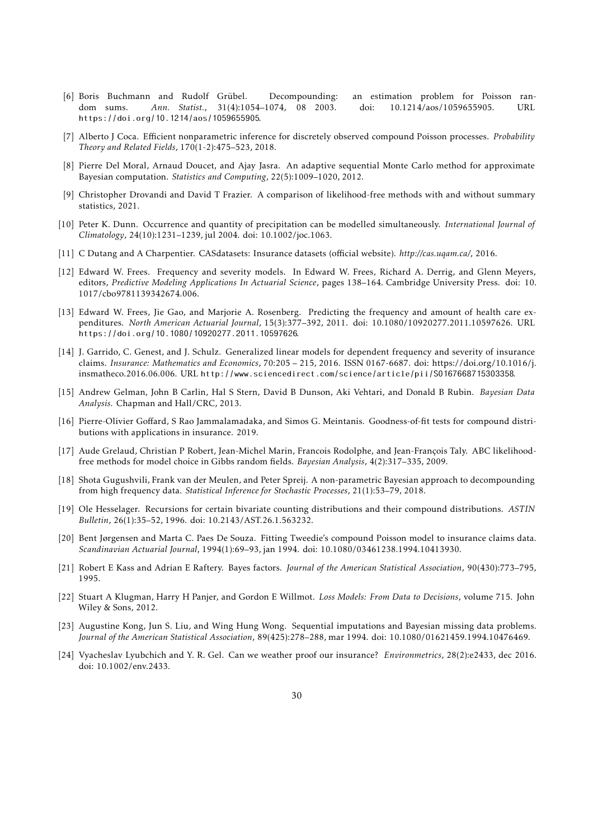- <span id="page-29-4"></span>[6] Boris Buchmann and Rudolf Grübel. Decompounding: an estimation problem for Poisson random sums. *Ann. Statist.*, 31(4):1054–1074, 08 2003. doi: 10.1214/aos/1059655905. URL <https://doi.org/10.1214/aos/1059655905>.
- <span id="page-29-5"></span>[7] Alberto J Coca. Efficient nonparametric inference for discretely observed compound Poisson processes. *Probability Theory and Related Fields*, 170(1-2):475–523, 2018.
- <span id="page-29-8"></span>[8] Pierre Del Moral, Arnaud Doucet, and Ajay Jasra. An adaptive sequential Monte Carlo method for approximate Bayesian computation. *Statistics and Computing*, 22(5):1009–1020, 2012.
- <span id="page-29-10"></span>[9] Christopher Drovandi and David T Frazier. A comparison of likelihood-free methods with and without summary statistics, 2021.
- <span id="page-29-2"></span>[10] Peter K. Dunn. Occurrence and quantity of precipitation can be modelled simultaneously. *International Journal of Climatology*, 24(10):1231–1239, jul 2004. doi: 10.1002/joc.1063.
- <span id="page-29-17"></span>[11] C Dutang and A Charpentier. CASdatasets: Insurance datasets (official website). *http://cas.uqam.ca/*, 2016.
- <span id="page-29-0"></span>[12] Edward W. Frees. Frequency and severity models. In Edward W. Frees, Richard A. Derrig, and Glenn Meyers, editors, *Predictive Modeling Applications In Actuarial Science*, pages 138–164. Cambridge University Press. doi: 10. 1017/cbo9781139342674.006.
- [13] Edward W. Frees, Jie Gao, and Marjorie A. Rosenberg. Predicting the frequency and amount of health care expenditures. *North American Actuarial Journal*, 15(3):377–392, 2011. doi: 10.1080/10920277.2011.10597626. URL <https://doi.org/10.1080/10920277.2011.10597626>.
- <span id="page-29-15"></span>[14] J. Garrido, C. Genest, and J. Schulz. Generalized linear models for dependent frequency and severity of insurance claims. *Insurance: Mathematics and Economics*, 70:205 – 215, 2016. ISSN 0167-6687. doi: https://doi.org/10.1016/j. insmatheco.2016.06.006. URL <http://www.sciencedirect.com/science/article/pii/S0167668715303358>.
- <span id="page-29-7"></span>[15] Andrew Gelman, John B Carlin, Hal S Stern, David B Dunson, Aki Vehtari, and Donald B Rubin. *Bayesian Data Analysis*. Chapman and Hall/CRC, 2013.
- <span id="page-29-11"></span>[16] Pierre-Olivier Goffard, S Rao Jammalamadaka, and Simos G. Meintanis. Goodness-of-fit tests for compound distributions with applications in insurance. 2019.
- <span id="page-29-14"></span>[17] Aude Grelaud, Christian P Robert, Jean-Michel Marin, Francois Rodolphe, and Jean-François Taly. ABC likelihoodfree methods for model choice in Gibbs random fields. *Bayesian Analysis*, 4(2):317–335, 2009.
- <span id="page-29-6"></span>[18] Shota Gugushvili, Frank van der Meulen, and Peter Spreij. A non-parametric Bayesian approach to decompounding from high frequency data. *Statistical Inference for Stochastic Processes*, 21(1):53–79, 2018.
- <span id="page-29-16"></span>[19] Ole Hesselager. Recursions for certain bivariate counting distributions and their compound distributions. *ASTIN Bulletin*, 26(1):35–52, 1996. doi: 10.2143/AST.26.1.563232.
- <span id="page-29-1"></span>[20] Bent Jørgensen and Marta C. Paes De Souza. Fitting Tweedie's compound Poisson model to insurance claims data. *Scandinavian Actuarial Journal*, 1994(1):69–93, jan 1994. doi: 10.1080/03461238.1994.10413930.
- <span id="page-29-13"></span>[21] Robert E Kass and Adrian E Raftery. Bayes factors. *Journal of the American Statistical Association*, 90(430):773–795, 1995.
- <span id="page-29-12"></span>[22] Stuart A Klugman, Harry H Panjer, and Gordon E Willmot. *Loss Models: From Data to Decisions*, volume 715. John Wiley & Sons, 2012.
- <span id="page-29-9"></span>[23] Augustine Kong, Jun S. Liu, and Wing Hung Wong. Sequential imputations and Bayesian missing data problems. *Journal of the American Statistical Association*, 89(425):278–288, mar 1994. doi: 10.1080/01621459.1994.10476469.
- <span id="page-29-3"></span>[24] Vyacheslav Lyubchich and Y. R. Gel. Can we weather proof our insurance? *Environmetrics*, 28(2):e2433, dec 2016. doi: 10.1002/env.2433.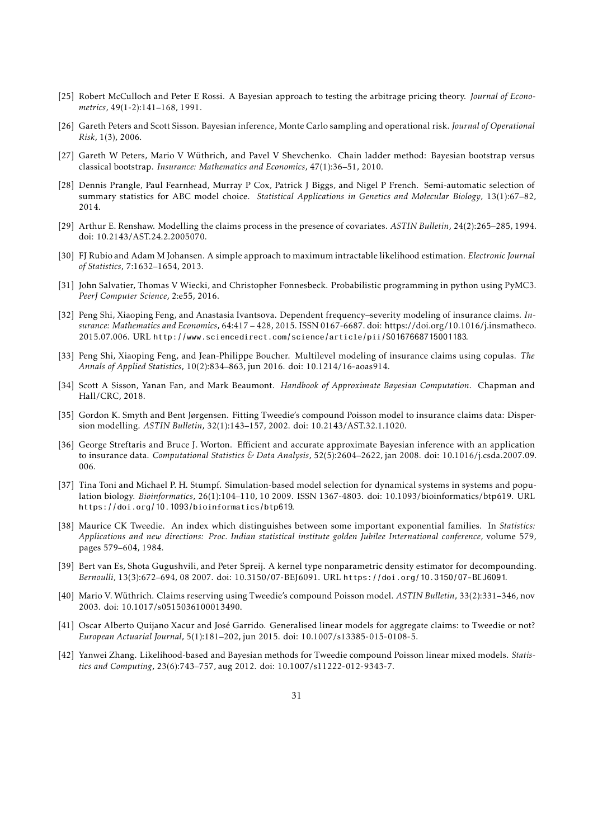- <span id="page-30-12"></span>[25] Robert McCulloch and Peter E Rossi. A Bayesian approach to testing the arbitrage pricing theory. *Journal of Econometrics*, 49(1-2):141–168, 1991.
- <span id="page-30-8"></span>[26] Gareth Peters and Scott Sisson. Bayesian inference, Monte Carlo sampling and operational risk. *Journal of Operational Risk*, 1(3), 2006.
- <span id="page-30-9"></span>[27] Gareth W Peters, Mario V Wüthrich, and Pavel V Shevchenko. Chain ladder method: Bayesian bootstrap versus classical bootstrap. *Insurance: Mathematics and Economics*, 47(1):36–51, 2010.
- <span id="page-30-13"></span>[28] Dennis Prangle, Paul Fearnhead, Murray P Cox, Patrick J Biggs, and Nigel P French. Semi-automatic selection of summary statistics for ABC model choice. *Statistical Applications in Genetics and Molecular Biology*, 13(1):67–82, 2014.
- <span id="page-30-14"></span>[29] Arthur E. Renshaw. Modelling the claims process in the presence of covariates. *ASTIN Bulletin*, 24(2):265–285, 1994. doi: 10.2143/AST.24.2.2005070.
- <span id="page-30-10"></span>[30] FJ Rubio and Adam M Johansen. A simple approach to maximum intractable likelihood estimation. *Electronic Journal of Statistics*, 7:1632–1654, 2013.
- <span id="page-30-11"></span>[31] John Salvatier, Thomas V Wiecki, and Christopher Fonnesbeck. Probabilistic programming in python using PyMC3. *PeerJ Computer Science*, 2:e55, 2016.
- <span id="page-30-15"></span>[32] Peng Shi, Xiaoping Feng, and Anastasia Ivantsova. Dependent frequency–severity modeling of insurance claims. *Insurance: Mathematics and Economics*, 64:417 – 428, 2015. ISSN 0167-6687. doi: https://doi.org/10.1016/j.insmatheco. 2015.07.006. URL <http://www.sciencedirect.com/science/article/pii/S0167668715001183>.
- <span id="page-30-5"></span>[33] Peng Shi, Xiaoping Feng, and Jean-Philippe Boucher. Multilevel modeling of insurance claims using copulas. *The Annals of Applied Statistics*, 10(2):834–863, jun 2016. doi: 10.1214/16-aoas914.
- <span id="page-30-7"></span>[34] Scott A Sisson, Yanan Fan, and Mark Beaumont. *Handbook of Approximate Bayesian Computation*. Chapman and Hall/CRC, 2018.
- <span id="page-30-1"></span>[35] Gordon K. Smyth and Bent Jørgensen. Fitting Tweedie's compound Poisson model to insurance claims data: Dispersion modelling. *ASTIN Bulletin*, 32(1):143–157, 2002. doi: 10.2143/AST.32.1.1020.
- <span id="page-30-16"></span>[36] George Streftaris and Bruce J. Worton. Efficient and accurate approximate Bayesian inference with an application to insurance data. *Computational Statistics & Data Analysis*, 52(5):2604–2622, jan 2008. doi: 10.1016/j.csda.2007.09. 006.
- [37] Tina Toni and Michael P. H. Stumpf. Simulation-based model selection for dynamical systems in systems and population biology. *Bioinformatics*, 26(1):104–110, 10 2009. ISSN 1367-4803. doi: 10.1093/bioinformatics/btp619. URL <https://doi.org/10.1093/bioinformatics/btp619>.
- <span id="page-30-0"></span>[38] Maurice CK Tweedie. An index which distinguishes between some important exponential families. In *Statistics: Applications and new directions: Proc. Indian statistical institute golden Jubilee International conference*, volume 579, pages 579–604, 1984.
- <span id="page-30-6"></span>[39] Bert van Es, Shota Gugushvili, and Peter Spreij. A kernel type nonparametric density estimator for decompounding. *Bernoulli*, 13(3):672–694, 08 2007. doi: 10.3150/07-BEJ6091. URL <https://doi.org/10.3150/07-BEJ6091>.
- <span id="page-30-2"></span>[40] Mario V. Wüthrich. Claims reserving using Tweedie's compound Poisson model. *ASTIN Bulletin*, 33(2):331–346, nov 2003. doi: 10.1017/s0515036100013490.
- <span id="page-30-4"></span>[41] Oscar Alberto Quijano Xacur and José Garrido. Generalised linear models for aggregate claims: to Tweedie or not? *European Actuarial Journal*, 5(1):181–202, jun 2015. doi: 10.1007/s13385-015-0108-5.
- <span id="page-30-3"></span>[42] Yanwei Zhang. Likelihood-based and Bayesian methods for Tweedie compound Poisson linear mixed models. *Statistics and Computing*, 23(6):743–757, aug 2012. doi: 10.1007/s11222-012-9343-7.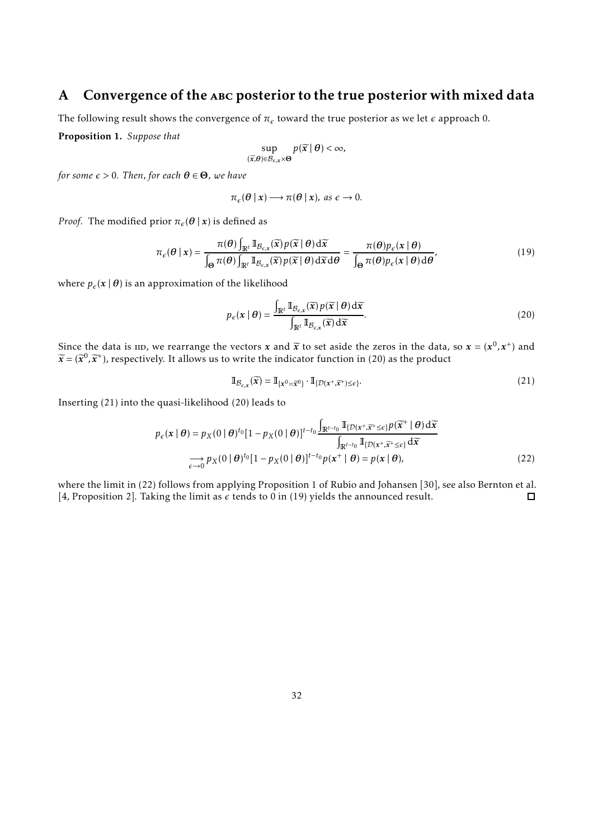# <span id="page-31-1"></span>A Convergence of the abc posterior to the true posterior with mixed data

<span id="page-31-0"></span>The following result shows the convergence of  $\pi_\epsilon$  toward the true posterior as we let  $\epsilon$  approach 0.

Proposition 1. *Suppose that*

$$
\sup_{(\widetilde{x},\theta)\in\mathcal{B}_{\varepsilon,x}\times\Theta}p(\widetilde{x} \mid \theta)<\infty,
$$

*for some*  $\epsilon > 0$ *. Then, for each*  $\theta \in \Theta$ *, we have* 

$$
\pi_{\epsilon}(\theta \mid x) \longrightarrow \pi(\theta \mid x), \text{ as } \epsilon \to 0.
$$

*Proof.* The modified prior  $\pi_{\epsilon}(\theta | x)$  is defined as

<span id="page-31-5"></span>
$$
\pi_{\epsilon}(\theta \mid x) = \frac{\pi(\theta) \int_{\mathbb{R}^t} \mathbb{I}_{\mathcal{B}_{\epsilon,x}}(\widetilde{x}) p(\widetilde{x} \mid \theta) d\widetilde{x}}{\int_{\Theta} \pi(\theta) \int_{\mathbb{R}^t} \mathbb{I}_{\mathcal{B}_{\epsilon,x}}(\widetilde{x}) p(\widetilde{x} \mid \theta) d\widetilde{x} d\theta} = \frac{\pi(\theta) p_{\epsilon}(x \mid \theta)}{\int_{\Theta} \pi(\theta) p_{\epsilon}(x \mid \theta) d\theta},
$$
\n(19)

where  $p_{\epsilon}(\mathbf{x} | \boldsymbol{\theta})$  is an approximation of the likelihood

<span id="page-31-2"></span>
$$
p_{\epsilon}(\mathbf{x} \mid \boldsymbol{\theta}) = \frac{\int_{\mathbb{R}^t} \mathbb{I}_{\mathcal{B}_{\epsilon,\mathbf{x}}}(\widetilde{\mathbf{x}}) p(\widetilde{\mathbf{x}} \mid \boldsymbol{\theta}) d\widetilde{\mathbf{x}}}{\int_{\mathbb{R}^t} \mathbb{I}_{\mathcal{B}_{\epsilon,\mathbf{x}}}(\widetilde{\mathbf{x}}) d\widetilde{\mathbf{x}}}.
$$
 (20)

Since the data is iid, we rearrange the vectors *x* and  $\tilde{x}$  to set aside the zeros in the data, so  $x = (x^0, x^+)$  and  $\tilde{y} = (x^0, x^+)$  $\widetilde{x} = (\widetilde{x}^0, \widetilde{x}^+)$ , respectively. It allows us to write the indicator function in [\(20\)](#page-31-2) as the product

<span id="page-31-4"></span><span id="page-31-3"></span>
$$
\mathbb{I}_{\mathcal{B}_{\varepsilon,x}}(\widetilde{x}) = \mathbb{I}_{\{x^0 = \widetilde{x}^0\}} \cdot \mathbb{I}_{\{\mathcal{D}(x^+, \widetilde{x}^+) \le \varepsilon\}}.
$$
\n(21)

Inserting [\(21\)](#page-31-3) into the quasi-likelihood [\(20\)](#page-31-2) leads to

$$
p_{\epsilon}(\mathbf{x} \mid \boldsymbol{\theta}) = p_{X}(0 \mid \boldsymbol{\theta})^{t_{0}} [1 - p_{X}(0 \mid \boldsymbol{\theta})]^{t - t_{0}} \frac{\int_{\mathbb{R}^{t - t_{0}}} \mathbb{I}_{\{\mathcal{D}(\mathbf{x}^{+}, \widetilde{\mathbf{x}}^{+} \leq \epsilon\}} p(\widetilde{\mathbf{x}}^{+} \mid \boldsymbol{\theta}) d\widetilde{\mathbf{x}}}{\int_{\mathbb{R}^{t - t_{0}}} \mathbb{I}_{\{\mathcal{D}(\mathbf{x}^{+}, \widetilde{\mathbf{x}}^{+} \leq \epsilon\}} d\widetilde{\mathbf{x}}}
$$
  
\n
$$
\longrightarrow_{\epsilon \to 0} p_{X}(0 \mid \boldsymbol{\theta})^{t_{0}} [1 - p_{X}(0 \mid \boldsymbol{\theta})]^{t - t_{0}} p(\mathbf{x}^{+} \mid \boldsymbol{\theta}) = p(\mathbf{x} \mid \boldsymbol{\theta}), \tag{22}
$$

where the limit in [\(22\)](#page-31-4) follows from applying Proposition 1 of Rubio and Johansen [\[30](#page-30-10)], see also Bernton et al. [\[4](#page-28-4), Proposition 2]. Taking the limit as  $\epsilon$  tends to 0 in [\(19\)](#page-31-5) yields the announced result.  $\Box$